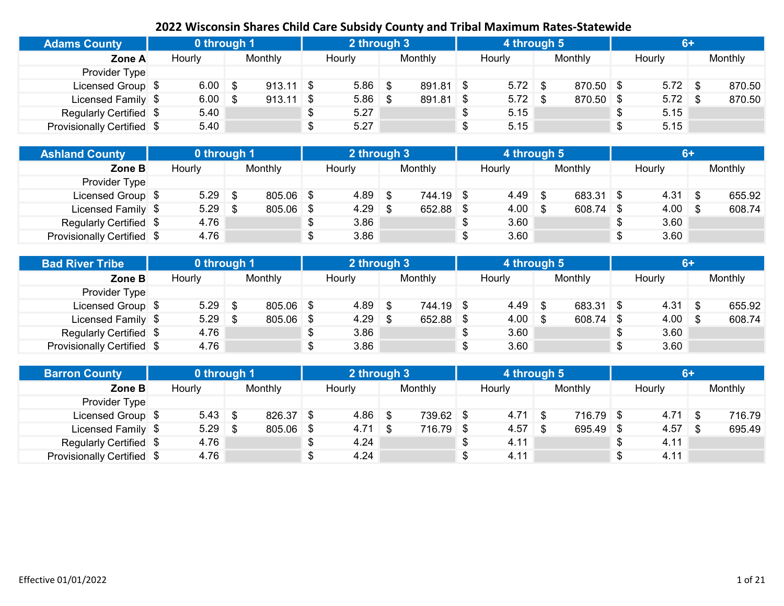| <b>Adams County</b>        | 0 through 1 |                   | 2 through 3 |             | 4 through 5 |           |    | $6+$      |         |
|----------------------------|-------------|-------------------|-------------|-------------|-------------|-----------|----|-----------|---------|
| Zone A                     | Hourly      | Monthly           | Hourly      | Monthly     | Hourly      | Monthly   |    | Hourly    | Monthly |
| Provider Type              |             |                   |             |             |             |           |    |           |         |
| Licensed Group \$          | 6.00        | \$<br>$913.11$ \$ | $5.86$ \$   | $891.81$ \$ | $5.72$ \$   | 870.50 \$ |    | $5.72$ \$ | 870.50  |
| Licensed Family \$         | 6.00        | \$<br>$913.11$ \$ | $5.86$ \$   | $891.81$ \$ | $5.72$ \$   | 870.50 \$ |    | $5.72$ \$ | 870.50  |
| Regularly Certified \$     | 5.40        |                   | 5.27        |             | \$<br>5.15  |           | D. | 5.15      |         |
| Provisionally Certified \$ | 5.40        |                   | 5.27        |             | \$<br>5.15  |           |    | 5.15      |         |

| <b>Ashland County</b>      | 0 through 1 |     |                | 2 through 3 |           |      | 4 through 5        |             | $6+$               |         |
|----------------------------|-------------|-----|----------------|-------------|-----------|------|--------------------|-------------|--------------------|---------|
| Zone B                     | Hourly      |     | <b>Monthly</b> | Hourly      | Monthly   |      | Hourly             | Monthly     | Hourly             | Monthly |
| Provider Type              |             |     |                |             |           |      |                    |             |                    |         |
| Licensed Group \$          | 5.29        | .\$ | $805.06$ \$    | $4.89$ \$   | 744.19 \$ |      | 4.49               | 683.31 \$   | $4.31$ \$          | 655.92  |
| Licensed Family \$         | 5.29        |     | 805.06 \$      | $4.29$ \$   | 652.88 \$ |      | $4.00 \, \text{S}$ | $608.74$ \$ | $4.00 \, \text{S}$ | 608.74  |
| Regularly Certified \$     | 4.76        |     |                | 3.86        |           | - \$ | 3.60               |             | 3.60               |         |
| Provisionally Certified \$ | 4.76        |     |                | 3.86        |           |      | 3.60               |             | \$<br>3.60         |         |

| <b>Bad River Tribe</b>     | 0 through 1 |           | 2 through 3 |           | 4 through 5        |             | $6+$               |         |
|----------------------------|-------------|-----------|-------------|-----------|--------------------|-------------|--------------------|---------|
| Zone B                     | Hourly      | Monthly   | Hourly      | Monthly   | Hourly             | Monthly     | Hourly             | Monthly |
| Provider Type              |             |           |             |           |                    |             |                    |         |
| Licensed Group \$          | 5.29        | 805.06 \$ | $4.89$ \$   | 744.19 \$ | 4.49               | 683.31 \$   | $4.31 \quad$ \$    | 655.92  |
| Licensed Family \$         | 5.29        | 805.06 \$ | $4.29$ \$   | 652.88 \$ | $4.00 \, \text{S}$ | $608.74$ \$ | $4.00 \, \text{S}$ | 608.74  |
| Regularly Certified \$     | 4.76        |           | 3.86        |           | 3.60               |             | 3.60               |         |
| Provisionally Certified \$ | 4.76        |           | 3.86        |           | 3.60               |             | \$<br>3.60         |         |

| <b>Barron County</b>       | 0 through 1 |             | 2 through 3 |           | 4 through 5 |             |                 |         |
|----------------------------|-------------|-------------|-------------|-----------|-------------|-------------|-----------------|---------|
| Zone B                     | Hourly      | Monthly     | Hourly      | Monthly   | Hourly      | Monthly     | Hourly          | Monthly |
| Provider Type              |             |             |             |           |             |             |                 |         |
| Licensed Group \$          | $5.43$ \$   | 826.37 \$   | $4.86$ \$   | 739.62 \$ | 4.71        | $716.79$ \$ | $4.71 \quad$ \$ | 716.79  |
| Licensed Family \$         | $5.29$ \$   | $805.06$ \$ | $4.71$ \$   | 716.79 \$ | 4.57        | $695.49$ \$ | $4.57$ \$       | 695.49  |
| Regularly Certified \$     | 4.76        |             | 4.24        |           | 4.11        |             | 4.11            |         |
| Provisionally Certified \$ | 4.76        |             | 4.24        |           | 4.11        |             | 4.11            |         |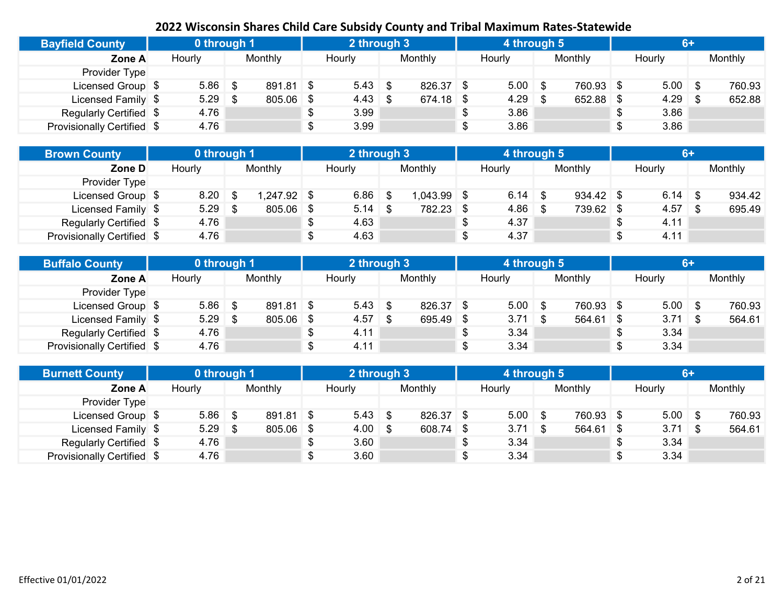| <b>Bayfield County</b>     | 0 through 1 |      |           | 2 through 3     |             | 4 through 5 |             | <b>G.</b>  |         |
|----------------------------|-------------|------|-----------|-----------------|-------------|-------------|-------------|------------|---------|
| Zone A                     | Hourly      |      | Monthly   | Hourly          | Monthly     | Hourly      | Monthly     | Hourly     | Monthly |
| Provider Type              |             |      |           |                 |             |             |             |            |         |
| Licensed Group \$          | 5.86        | -\$  | 891.81 \$ | $5.43 \quad$ \$ | 826.37 \$   | $5.00$ \$   | 760.93 \$   | $5.00$ \$  | 760.93  |
| Licensed Family \$         | 5.29        | - \$ | 805.06 \$ | $4.43 \quad$ \$ | $674.18$ \$ | 4.29        | $652.88$ \$ | $4.29$ \$  | 652.88  |
| Regularly Certified \$     | 4.76        |      |           | 3.99            |             | \$<br>3.86  |             | 3.86       |         |
| Provisionally Certified \$ | 4.76        |      |           | 3.99            |             | \$<br>3.86  |             | \$<br>3.86 |         |

| <b>Brown County</b>        | 0 through 1 |    |             | 2 through 3 |               | 4 through 5 |             |           |         |
|----------------------------|-------------|----|-------------|-------------|---------------|-------------|-------------|-----------|---------|
| Zone D                     | Hourly      |    | Monthly     | Hourly      | Monthly       | Hourly      | Monthly     | Hourly    | Monthly |
| Provider Type              |             |    |             |             |               |             |             |           |         |
| Licensed Group \$          | 8.20        | .Տ | 1,247.92 \$ | $6.86$ \$   | $1,043.99$ \$ | 6.14        | $934.42$ \$ | $6.14$ \$ | 934.42  |
| Licensed Family \$         | 5.29        |    | 805.06 \$   | $5.14$ \$   | 782.23 \$     | 4.86        | 739.62 \$   | $4.57$ \$ | 695.49  |
| Regularly Certified \$     | 4.76        |    |             | 4.63        |               | \$<br>4.37  |             | 4.11      |         |
| Provisionally Certified \$ | 4.76        |    |             | 4.63        |               | 4.37        |             | 4.11      |         |

| <b>Buffalo County</b>      | 0 through 1 |           | 2 through 3 |           | 4 through 5     |           | $6+$       |         |
|----------------------------|-------------|-----------|-------------|-----------|-----------------|-----------|------------|---------|
| Zone A                     | Hourly      | Monthly   | Hourly      | Monthly   | Hourly          | Monthly   | Hourly     | Monthly |
| Provider Type              |             |           |             |           |                 |           |            |         |
| Licensed Group \$          | 5.86        | 891.81 \$ | $5.43$ \$   | 826.37 \$ | $5.00$ \$       | 760.93 \$ | $5.00$ \$  | 760.93  |
| Licensed Family \$         | 5.29        | 805.06 \$ | $4.57$ \$   | 695.49 \$ | $3.71 \quad$ \$ | 564.61 \$ | $3.71 \&$  | 564.61  |
| Regularly Certified \$     | 4.76        |           | 4.11        |           | 3.34            |           | \$<br>3.34 |         |
| Provisionally Certified \$ | 4.76        |           | 4.11        |           | 3.34            |           | \$<br>3.34 |         |

| <b>Burnett County</b>      | 0 through 1 |           |   | 2 through 3        |           |    | 4 through 5 |             |            | 6+ |         |
|----------------------------|-------------|-----------|---|--------------------|-----------|----|-------------|-------------|------------|----|---------|
| Zone A                     | Hourly      | Monthly   |   | Hourly             | Monthly   |    | Hourly      | Monthly     | Hourly     |    | Monthly |
| Provider Type              |             |           |   |                    |           |    |             |             |            |    |         |
| Licensed Group \$          | $5.86$ \ \$ | 891.81 \$ |   | $5.43$ \ \$        | 826.37 \$ |    | $5.00$ \$   | 760.93 \$   | $5.00$ \$  |    | 760.93  |
| Licensed Family \$         | $5.29$ \$   | 805.06    | S | $4.00 \, \text{S}$ | 608.74 \$ |    | $3.71$ \$   | $564.61$ \$ | $3.71$ \$  |    | 564.61  |
| Regularly Certified \$     | 4.76        |           |   | 3.60               |           | -S | 3.34        |             | \$<br>3.34 |    |         |
| Provisionally Certified \$ | 4.76        |           |   | 3.60               |           |    | 3.34        |             | \$<br>3.34 |    |         |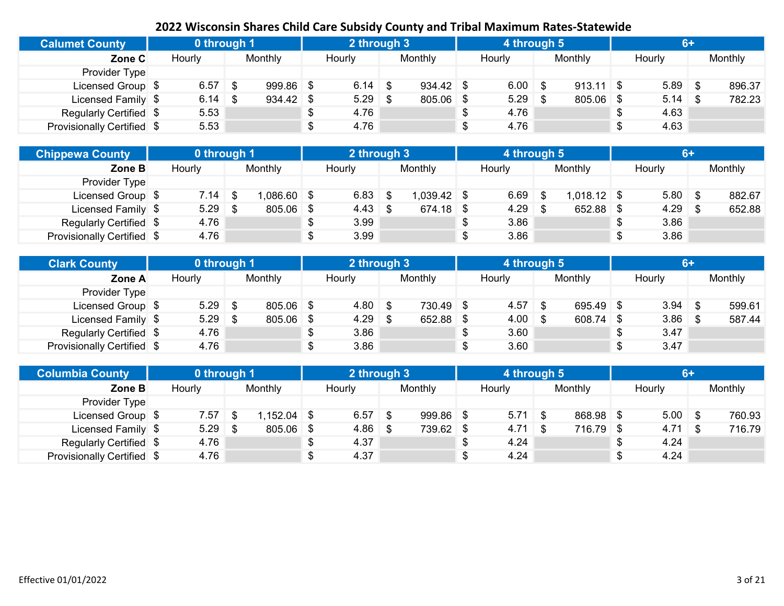| <b>Calumet County</b>      | 0 through 1 |                   | 2 through 3 |             | 4 through 5 |             | $6+$      |         |
|----------------------------|-------------|-------------------|-------------|-------------|-------------|-------------|-----------|---------|
| Zone C                     | Hourly      | Monthly           | Hourly      | Monthly     | Hourly      | Monthly     | Hourly    | Monthly |
| Provider Type              |             |                   |             |             |             |             |           |         |
| Licensed Group \$          | 6.57        | \$<br>$999.86$ \$ | $6.14$ \$   | $934.42$ \$ | 6.00        | $913.11$ \$ | $5.89$ \$ | 896.37  |
| Licensed Family \$         | $6.14$ \$   | $934.42$ \$       | $5.29$ \$   | 805.06 \$   | 5.29        | $805.06$ \$ | $5.14$ \$ | 782.23  |
| Regularly Certified \$     | 5.53        |                   | 4.76        |             | \$<br>4.76  |             | 4.63      |         |
| Provisionally Certified \$ | 5.53        |                   | 4.76        |             | \$<br>4.76  |             | 4.63      |         |

| <b>Chippewa County</b>     | 0 through 1 |              | 2 through 3     |             | 4 through 5 |               | <b>G+</b>  |         |
|----------------------------|-------------|--------------|-----------------|-------------|-------------|---------------|------------|---------|
| Zone B                     | Hourly      | Monthly      | Hourly          | Monthly     | Hourly      | Monthly       | Hourly     | Monthly |
| Provider Type              |             |              |                 |             |             |               |            |         |
| Licensed Group \$          | 7.14        | $,086.60$ \$ | $6.83$ \$       | 1,039.42 \$ | 6.69        | $1,018.12$ \$ | $5.80$ \$  | 882.67  |
| Licensed Family \$         | 5.29        | 805.06 \$    | $4.43 \quad$ \$ | $674.18$ \$ | 4.29        | 652.88 \$     | $4.29$ \$  | 652.88  |
| Regularly Certified \$     | 4.76        |              | 3.99            |             | 3.86        |               | \$<br>3.86 |         |
| Provisionally Certified \$ | 4.76        |              | 3.99            |             | 3.86        |               | \$<br>3.86 |         |

| <b>Clark County</b>        | 0 through 1 |             | 2 through 3 |           | 4 through 5        |           | $6+$      |         |
|----------------------------|-------------|-------------|-------------|-----------|--------------------|-----------|-----------|---------|
| Zone A                     | Hourly      | Monthly     | Hourly      | Monthly   | Hourly             | Monthly   | Hourly    | Monthly |
| Provider Type              |             |             |             |           |                    |           |           |         |
| Licensed Group \$          | 5.29        | $805.06$ \$ | $4.80$ \$   | 730.49 \$ | 4.57               | 695.49 \$ | $3.94$ \$ | 599.61  |
| Licensed Family \$         | 5.29        | 805.06 \$   | $4.29$ \$   | 652.88 \$ | $4.00 \, \text{S}$ | 608.74 \$ | $3.86$ \$ | 587.44  |
| Regularly Certified \$     | 4.76        |             | 3.86        |           | 3.60               |           | 3.47      |         |
| Provisionally Certified \$ | 4.76        |             | 3.86        |           | 3.60               |           | 3.47      |         |

| <b>Columbia County</b>     | 0 through 1 |     |         |   | 2 through 3 |           | 4 through 5 |             |            | 6+ |         |
|----------------------------|-------------|-----|---------|---|-------------|-----------|-------------|-------------|------------|----|---------|
| Zone B                     | Hourly      |     | Monthly |   | Hourly      | Monthly   | Hourly      | Monthly     | Hourly     |    | Monthly |
| Provider Type              |             |     |         |   |             |           |             |             |            |    |         |
| Licensed Group \$          | 7.57        |     | .152.04 |   | $6.57$ \$   | 999.86 \$ | $5.71$ \ \$ | 868.98 \$   | $5.00$ \$  |    | 760.93  |
| Licensed Family \$         | 5.29        | ∣\$ | 805.06  | S | $4.86$ \$   | 739.62 \$ | $4.71$ \$   | $716.79$ \$ | $4.71$ \$  |    | 716.79  |
| Regularly Certified \$     | 4.76        |     |         |   | 4.37        |           | 4.24        |             | \$<br>4.24 |    |         |
| Provisionally Certified \$ | 4.76        |     |         |   | 4.37        |           | 4.24        |             | \$<br>4.24 |    |         |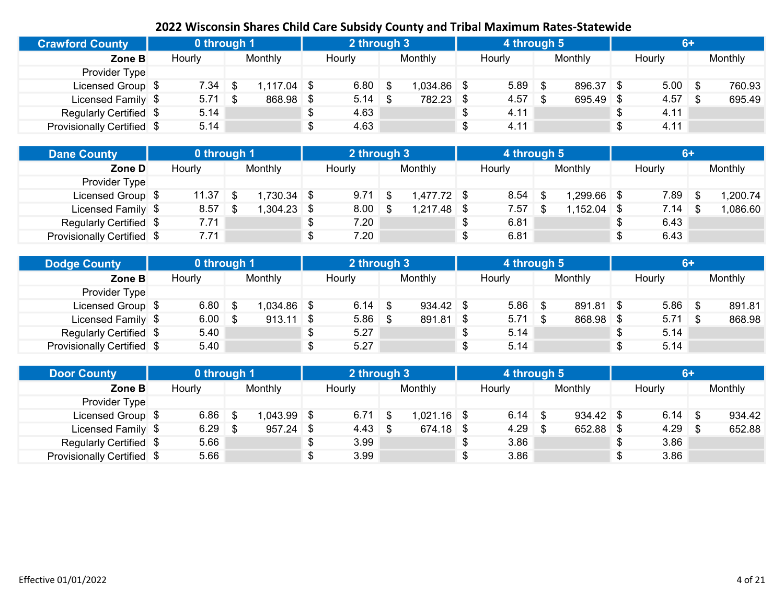| <b>Crawford County</b>     | 0 through 1 |                   | 2 through 3 |             | 4 through 5 |           | $6+$      |         |
|----------------------------|-------------|-------------------|-------------|-------------|-------------|-----------|-----------|---------|
| Zone B                     | Hourly      | Monthly           | Hourly      | Monthly     | Hourly      | Monthly   | Hourly    | Monthly |
| Provider Type              |             |                   |             |             |             |           |           |         |
| Licensed Group \$          | 7.34        | \$<br>$117.04$ \$ | $6.80$ \$   | 1,034.86 \$ | 5.89        | 896.37 \$ | $5.00$ \$ | 760.93  |
| Licensed Family \$         | $5.71$ \$   | 868.98 \$         |             | 782.23 \$   | 4.57        | 695.49 \$ | $4.57$ \$ | 695.49  |
| Regularly Certified \$     | 5.14        |                   | 4.63        |             | \$<br>4.11  |           | 4.11      |         |
| Provisionally Certified \$ | 5.14        |                   | 4.63        |             | \$<br>4.11  |           | 4.11      |         |

| <b>Dane County</b>         | 0 through 1 |               | 2 through 3     |               | 4 through 5 |               |    | $6+$   |          |
|----------------------------|-------------|---------------|-----------------|---------------|-------------|---------------|----|--------|----------|
| Zone D                     | Hourly      | Monthly       | Hourly          | Monthly       | Hourly      | Monthly       |    | Hourly | Monthly  |
| Provider Type              |             |               |                 |               |             |               |    |        |          |
| Licensed Group \$          | 11.37       | $.730.34$ \$  | $9.71 \quad$ \$ | 1,477.72 \$   | 8.54        | 1,299.66      |    | 7.89   | 1,200.74 |
| Licensed Family \$         | 8.57        | $1,304.23$ \$ | $8.00$ \$       | $1,217.48$ \$ | 7.57        | $1,152.04$ \$ |    | 7.14   | 1,086.60 |
| Regularly Certified \$     | 7.71        |               | 7.20            |               | 6.81        |               | S  | 6.43   |          |
| Provisionally Certified \$ | 7.71        |               | 7.20            |               | 6.81        |               | \$ | 6.43   |          |

| <b>Dodge County</b>        | 0 through 1 |      |               | 2 through 3 |             |    | 4 through 5 |           | $6+$            |         |
|----------------------------|-------------|------|---------------|-------------|-------------|----|-------------|-----------|-----------------|---------|
| Zone B                     | Hourly      |      | Monthly       | Hourly      | Monthly     |    | Hourly      | Monthly   | Hourly          | Monthly |
| Provider Type              |             |      |               |             |             |    |             |           |                 |         |
| Licensed Group \$          | 6.80        |      | $0.034.86$ \$ | $6.14$ \$   | $934.42$ \$ |    | 5.86        | 891.81 \$ | $5.86$ \$       | 891.81  |
| Licensed Family \$         | 6.00        | - \$ | $913.11$ \$   | $5.86$ \$   | 891.81 \$   |    | $5.71$ \$   | 868.98 \$ | $5.71 \quad$ \$ | 868.98  |
| Regularly Certified \$     | 5.40        |      |               | 5.27        |             | აა | 5.14        |           | 5.14            |         |
| Provisionally Certified \$ | 5.40        |      |               | 5.27        |             |    | 5.14        |           | 5.14            |         |

| <b>Door County</b>         | 0 through 1 |         |    | 2 through 3     |               | 4 through 5 |             |            | 6+ |         |
|----------------------------|-------------|---------|----|-----------------|---------------|-------------|-------------|------------|----|---------|
| Zone B                     | Hourly      | Monthly |    | Hourly          | Monthly       | Hourly      | Monthly     | Hourly     |    | Monthly |
| <b>Provider Type</b>       |             |         |    |                 |               |             |             |            |    |         |
| Licensed Group \$          | $6.86$ \ \$ | 043.99  |    | $6.71$ \$       | $1,021.16$ \$ | $6.14$ \$   | $934.42$ \$ |            |    | 934.42  |
| Licensed Family \$         | $6.29$ \$   | 957.24  | -S | $4.43 \quad$ \$ | $674.18$ \$   | 4.29        | 652.88      | $4.29$ \$  |    | 652.88  |
| Regularly Certified \$     | 5.66        |         |    | 3.99            |               | 3.86        |             | \$<br>3.86 |    |         |
| Provisionally Certified \$ | 5.66        |         |    | 3.99            |               | 3.86        |             | \$<br>3.86 |    |         |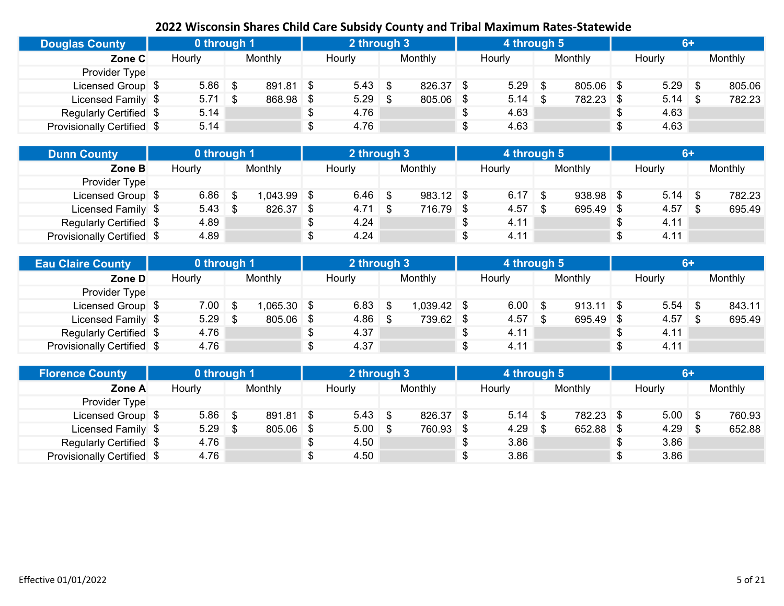| <b>Douglas County</b>      | 0 through 1 |                 | 2 through 3 |             | 4 through 5 |           | $6+$       |         |
|----------------------------|-------------|-----------------|-------------|-------------|-------------|-----------|------------|---------|
| Zone C                     | Hourly      | Monthly         | Hourly      | Monthly     | Hourly      | Monthly   | Hourly     | Monthly |
| Provider Type              |             |                 |             |             |             |           |            |         |
| Licensed Group \$          | 5.86        | \$<br>891.81 \$ | $5.43$ \$   | 826.37 \$   | 5.29        | 805.06 \$ | $5.29$ \$  | 805.06  |
| Licensed Family \$         | $5.71$ \$   | 868.98 \$       | $5.29$ \$   | $805.06$ \$ | $5.14$ \$   | 782.23 \$ | $5.14$ \$  | 782.23  |
| Regularly Certified \$     | 5.14        |                 | 4.76        |             | \$<br>4.63  |           | 4.63       |         |
| Provisionally Certified \$ | 5.14        |                 | 4.76        |             | 4.63        |           | \$<br>4.63 |         |

| <b>Dunn County</b>         | 0 through 1 |           |     | 2 through 3     |             | 4 through 5 |             | $6+$       |         |
|----------------------------|-------------|-----------|-----|-----------------|-------------|-------------|-------------|------------|---------|
| Zone B                     | Hourly      | Monthly   |     | Hourly          | Monthly     | Hourly      | Monthly     | Hourly     | Monthly |
| Provider Type              |             |           |     |                 |             |             |             |            |         |
| Licensed Group \$          | 6.86        | ,043.99   | - S | $6.46$ \$       | $983.12$ \$ | $6.17$ \$   | $938.98$ \$ | $5.14$ \$  | 782.23  |
| Licensed Family \$         | $5.43$ \ \$ | 826.37 \$ |     | $4.71 \quad$ \$ | 716.79 \$   | 4.57        | $695.49$ \$ |            | 695.49  |
| Regularly Certified \$     | 4.89        |           |     | 4.24            |             | 4.11        |             | \$<br>4.11 |         |
| Provisionally Certified \$ | 4.89        |           |     | 4.24            |             | 4.11        |             | \$<br>4.11 |         |

| <b>Eau Claire County</b>          | 0 through 1 |              | 2 through 3 |               | 4 through 5 |             | 6+        |         |
|-----------------------------------|-------------|--------------|-------------|---------------|-------------|-------------|-----------|---------|
| Zone D                            | Hourly      | Monthly      | Hourly      | Monthly       | Hourly      | Monthly     | Hourly    | Monthly |
| Provider Type                     |             |              |             |               |             |             |           |         |
| Licensed Group \$                 | 7.00        | $,065.30$ \$ | $6.83$ \$   | $1,039.42$ \$ | 6.00        | $913.11$ \$ | $5.54$ \$ | 843.11  |
| Licensed Family \$                | 5.29        | 805.06 \$    | $4.86$ \ \$ | 739.62 \$     | 4.57        | 695.49 \$   | $4.57$ \$ | 695.49  |
| Regularly Certified \$            | 4.76        |              | 4.37        |               | 4.11        |             | 4.11      |         |
| <b>Provisionally Certified \$</b> | 4.76        |              | 4.37        |               | 4.11        |             | 4.11      |         |

| <b>Florence County</b>     | 0 through 1 |           |    | 2 through 3 |           | 4 through 5 |           |            | 6+ |         |
|----------------------------|-------------|-----------|----|-------------|-----------|-------------|-----------|------------|----|---------|
| Zone A                     | Hourly      | Monthly   |    | Hourly      | Monthly   | Hourly      | Monthly   | Hourly     |    | Monthly |
| <b>Provider Type</b>       |             |           |    |             |           |             |           |            |    |         |
| Licensed Group \$          | $5.86$ \ \$ | 891.81 \$ |    | $5.43$ \$   | 826.37 \$ | $5.14$ \$   | 782.23 \$ | $5.00$ \$  |    | 760.93  |
| Licensed Family \$         | $5.29$ \$   | 805.06    | \$ | $5.00$ \$   | 760.93 \$ | $4.29$ \$   | 652.88    | $4.29$ \$  |    | 652.88  |
| Regularly Certified \$     | 4.76        |           |    | 4.50        |           | 3.86        |           | \$<br>3.86 |    |         |
| Provisionally Certified \$ | 4.76        |           |    | 4.50        |           | 3.86        |           | \$<br>3.86 |    |         |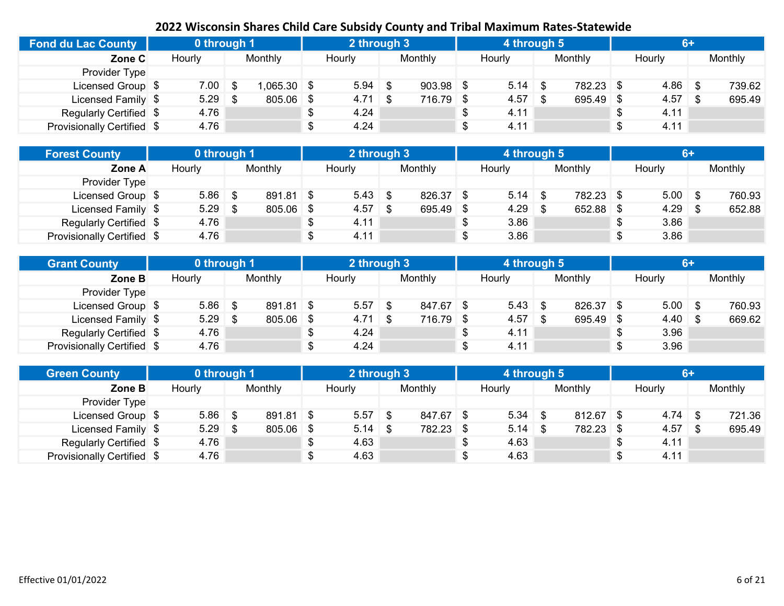| <b>Fond du Lac County</b>  | 0 through 1 |              | 2 through 3     |             | 4 through 5 |             |           |         |
|----------------------------|-------------|--------------|-----------------|-------------|-------------|-------------|-----------|---------|
| Zone C                     | Hourly      | Monthly      | Hourly          | Monthly     | Hourly      | Monthly     | Hourly    | Monthly |
| Provider Type              |             |              |                 |             |             |             |           |         |
| Licensed Group \$          | 7.00        | $.065.30$ \$ | $5.94$ \$       | $903.98$ \$ | 5.14        | 782.23 \$   | $4.86$ \$ | 739.62  |
| Licensed Family \$         | 5.29        | $805.06$ \$  | $4.71 \quad$ \$ | 716.79 \$   | 4.57        | $695.49$ \$ | $4.57$ \$ | 695.49  |
| Regularly Certified \$     | 4.76        |              | 4.24            |             | 4.11        |             | 4.11      |         |
| Provisionally Certified \$ | 4.76        |              | 4.24            |             | 4.11        |             | 4.11      |         |

| <b>Forest County</b>       | 0 through 1 |   |             | 2 through 3 |           | 4 through 5 |           | $6+$       |         |
|----------------------------|-------------|---|-------------|-------------|-----------|-------------|-----------|------------|---------|
| Zone A                     | Hourly      |   | Monthly     | Hourly      | Monthly   | Hourly      | Monthly   | Hourly     | Monthly |
| Provider Type              |             |   |             |             |           |             |           |            |         |
| Licensed Group \$          | 5.86        | 8 | $891.81$ \$ | $5.43$ \$   | 826.37 \$ | 5.14        | 782.23 \$ | $5.00$ \$  | 760.93  |
| Licensed Family \$         | 5.29        |   | 805.06 \$   |             | 695.49 \$ | 4.29        | 652.88 \$ | $4.29$ \$  | 652.88  |
| Regularly Certified \$     | 4.76        |   |             | 4.11        |           | 3.86        |           | \$<br>3.86 |         |
| Provisionally Certified \$ | 4.76        |   |             | 4.11        |           | 3.86        |           | \$<br>3.86 |         |

| <b>Grant County</b>        | 0 through 1 |           | 2 through 3     |           | 4 through 5  |           | $6+$         |         |
|----------------------------|-------------|-----------|-----------------|-----------|--------------|-----------|--------------|---------|
| Zone B                     | Hourly      | Monthly   | Hourly          | Monthly   | Hourly       | Monthly   | Hourly       | Monthly |
| Provider Type              |             |           |                 |           |              |           |              |         |
| Licensed Group \$          | $5.86$ \$   | 891.81 \$ | $5.57$ \$       | 847.67 \$ | $5.43 \t{3}$ | 826.37 \$ | $5.00$ \$    | 760.93  |
| Licensed Family \$         | 5.29        | 805.06 \$ | $4.71 \quad$ \$ | 716.79 \$ | 4.57         | 695.49 \$ | $4.40 \,$ \$ | 669.62  |
| Regularly Certified \$     | 4.76        |           | 4.24            |           | 4.11         |           | 3.96         |         |
| Provisionally Certified \$ | 4.76        |           | 4.24            |           | 4.11         |           | 3.96         |         |

| <b>Green County</b>        | 0 through 1 |           |    | 2 through 3 |           | 4 through 5 |             |            | 6+ |         |
|----------------------------|-------------|-----------|----|-------------|-----------|-------------|-------------|------------|----|---------|
| Zone B                     | Hourly      | Monthly   |    | Hourly      | Monthly   | Hourly      | Monthly     | Hourly     |    | Monthly |
| Provider Type              |             |           |    |             |           |             |             |            |    |         |
| Licensed Group \$          | $5.86$ \ \$ | 891.81 \$ |    | $5.57$ \$   | 847.67 \$ |             | $812.67$ \$ | $4.74$ \$  |    | 721.36  |
| Licensed Family \$         | $5.29$ \$   | 805.06    | \$ | $5.14$ \$   | 782.23 \$ |             | 782.23 \$   | $4.57$ \$  |    | 695.49  |
| Regularly Certified \$     | 4.76        |           |    | 4.63        |           | 4.63        |             | \$<br>4.11 |    |         |
| Provisionally Certified \$ | 4.76        |           |    | 4.63        |           | 4.63        |             | \$<br>4.11 |    |         |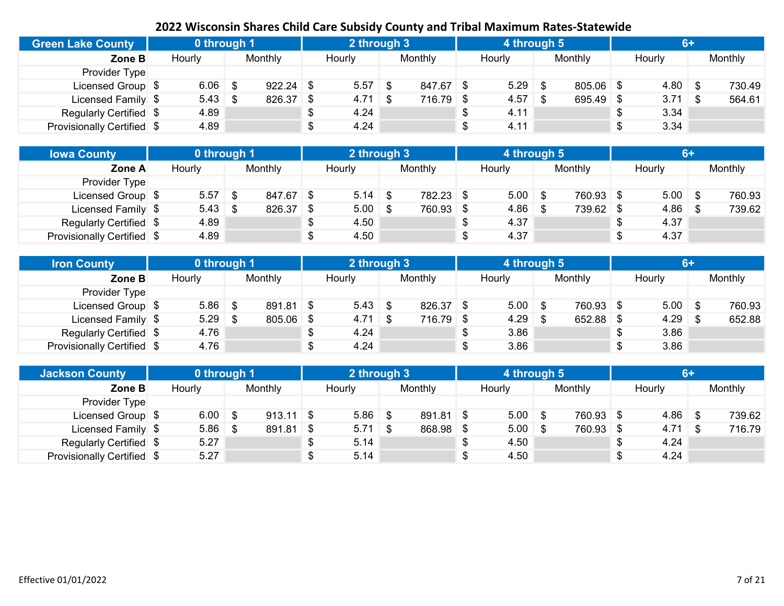| <b>Green Lake County</b>   | 0 through 1 |             | 2 through 3        |           | 4 through 5 |           | <b>IGH</b> |         |
|----------------------------|-------------|-------------|--------------------|-----------|-------------|-----------|------------|---------|
| Zone B                     | Hourly      | Monthly     | Hourly             | Monthly   | Hourly      | Monthly   | Hourly     | Monthly |
| Provider Type              |             |             |                    |           |             |           |            |         |
| Licensed Group \$          | 6.06        | $922.24$ \$ | $5.57$ \$          | 847.67 \$ | 5.29        | 805.06 \$ | $4.80$ \$  | 730.49  |
| Licensed Family \$         | $5.43$ \$   | $826.37$ \$ | $4.71 \; \text{S}$ | 716.79 \$ | 4.57        | 695.49 \$ | $3.71$ \$  | 564.61  |
| Regularly Certified \$     | 4.89        |             | 4.24               |           | 4.11        |           | 3.34       |         |
| Provisionally Certified \$ | 4.89        |             | 4.24               |           | 4.11        |           | \$<br>3.34 |         |

| <b>Iowa County</b>         | 0 through 1 |      |           | 2 through 3 |           | 4 through 5 |           | 6+         |         |
|----------------------------|-------------|------|-----------|-------------|-----------|-------------|-----------|------------|---------|
| Zone A                     | Hourly      |      | Monthly   | Hourly      | Monthly   | Hourly      | Monthly   | Hourly     | Monthly |
| <b>Provider Type</b>       |             |      |           |             |           |             |           |            |         |
| Licensed Group \$          | 5.57        | - \$ | 847.67 \$ | $5.14$ \$   | 782.23 \$ | $5.00$ \$   | 760.93 \$ | $5.00$ \$  | 760.93  |
| Licensed Family \$         | $5.43$ \$   |      | 826.37 \$ | $5.00$ \$   | 760.93 \$ | $4.86$ \$   | 739.62 \$ | $4.86$ \$  | 739.62  |
| Regularly Certified \$     | 4.89        |      |           | 4.50        |           | 4.37        |           | \$<br>4.37 |         |
| Provisionally Certified \$ | 4.89        |      |           | 4.50        |           | 4.37        |           | \$<br>4.37 |         |

| <b>Iron County</b>         | 0 through 1 |           | 2 through 3     |           | 4 through 5 |           | $6+$        |         |
|----------------------------|-------------|-----------|-----------------|-----------|-------------|-----------|-------------|---------|
| Zone B                     | Hourly      | Monthly   | Hourly          | Monthly   | Hourly      | Monthly   | Hourly      | Monthly |
| Provider Type              |             |           |                 |           |             |           |             |         |
| Licensed Group \$          | $5.86$ \$   | 891.81 \$ | $5.43 \t{3}$    | 826.37 \$ | $5.00$ \$   | 760.93 \$ | $5.00 \t S$ | 760.93  |
| Licensed Family \$         | $5.29$ \$   | 805.06 \$ | $4.71 \quad$ \$ | 716.79 \$ | 4.29        | 652.88 \$ | $4.29$ \$   | 652.88  |
| Regularly Certified \$     | 4.76        |           | 4.24            |           | 3.86        |           | 3.86        |         |
| Provisionally Certified \$ | 4.76        |           | 4.24            |           | 3.86        |           | 3.86        |         |

| <b>Jackson County</b>      | 0 through 1        |                |     | 2 through 3 |           | 4 through 5 |           |    |             | 6+ |         |
|----------------------------|--------------------|----------------|-----|-------------|-----------|-------------|-----------|----|-------------|----|---------|
| Zone B                     | Hourly             | <b>Monthly</b> |     | Hourly      | Monthly   | Hourly      | Monthly   |    | Hourly      |    | Monthly |
| Provider Type              |                    |                |     |             |           |             |           |    |             |    |         |
| Licensed Group \$          | $6.00 \, \text{S}$ | $913.11$ \$    |     | $5.86$ \$   | 891.81 \$ | $5.00$ \$   | 760.93 \$ |    | $4.86$ \ \$ |    | 739.62  |
| Licensed Family \$         | $5.86$ \$          | 891.81         | -\$ | $5.71$ \$   | 868.98 \$ | $5.00$ \$   | 760.93 \$ |    | $4.71$ \$   |    | 716.79  |
| Regularly Certified \$     | 5.27               |                |     | 5.14        |           | 4.50        |           | S  | 4.24        |    |         |
| Provisionally Certified \$ | 5.27               |                |     | 5.14        |           | 4.50        |           | \$ | 4.24        |    |         |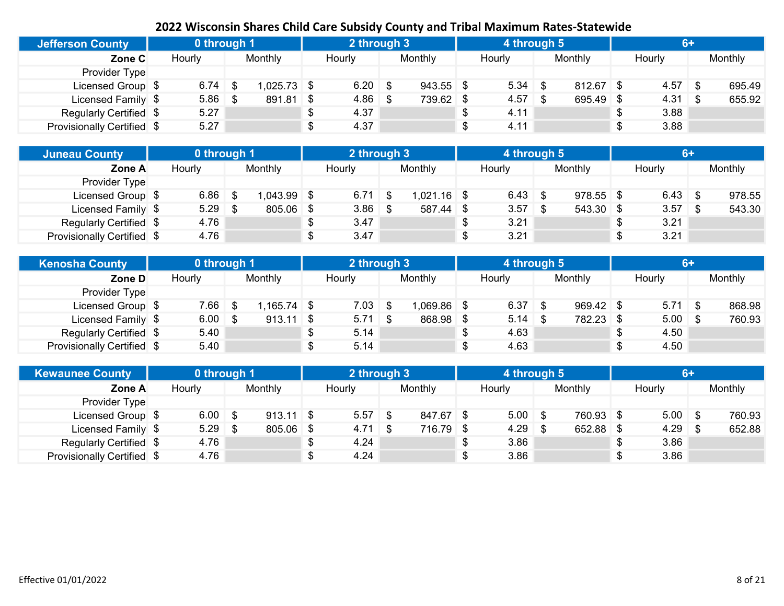| <b>Jefferson County</b>    | 0 through 1 |                     | 2 through 3 |             | 4 through 5 |             |                 |         |
|----------------------------|-------------|---------------------|-------------|-------------|-------------|-------------|-----------------|---------|
| Zone C                     | Hourly      | Monthly             | Hourly      | Monthly     | Hourly      | Monthly     | Hourly          | Monthly |
| Provider Type              |             |                     |             |             |             |             |                 |         |
| Licensed Group \$          | 6.74        | \$<br>$1,025.73$ \$ | $6.20$ \$   | $943.55$ \$ | 5.34        | $812.67$ \$ |                 | 695.49  |
| Licensed Family \$         | 5.86        | \$<br>$891.81$ \$   | $4.86$ \$   | 739.62 \$   | 4.57        | 695.49      | $4.31 \quad$ \$ | 655.92  |
| Regularly Certified \$     | 5.27        |                     | 4.37        |             | \$<br>4.11  |             | 3.88            |         |
| Provisionally Certified \$ | 5.27        |                     | 4.37        |             | \$<br>4.11  |             | 3.88            |         |

| <b>Juneau County</b>       | 0 through 1 |              | 2 through 3     |               | 4 through 5 |             |    | 6+        |         |
|----------------------------|-------------|--------------|-----------------|---------------|-------------|-------------|----|-----------|---------|
| Zone A                     | Hourly      | Monthly      | Hourly          | Monthly       | Hourly      | Monthly     |    | Hourly    | Monthly |
| <b>Provider Type</b>       |             |              |                 |               |             |             |    |           |         |
| Licensed Group \$          | 6.86        | $.043.99$ \$ | $6.71 \quad$ \$ | $1,021.16$ \$ | $6.43$ \$   | $978.55$ \$ |    | $6.43$ \$ | 978.55  |
| Licensed Family \$         | 5.29        | $805.06$ \$  | $3.86$ \$       | 587.44 \$     | 3.57        | $543.30$ \$ |    | $3.57$ \$ | 543.30  |
| Regularly Certified \$     | 4.76        |              | 3.47            |               | 3.21        |             | S  | 3.21      |         |
| Provisionally Certified \$ | 4.76        |              | 3.47            |               | 3.21        |             | \$ | 3.21      |         |

| <b>Kenosha County</b>      | 0 through 1 |      |               | 2 through 3 |               | 4 through 5 |             | $6+$        |         |
|----------------------------|-------------|------|---------------|-------------|---------------|-------------|-------------|-------------|---------|
| Zone D                     | Hourly      |      | Monthly       | Hourly      | Monthly       | Hourly      | Monthly     | Hourly      | Monthly |
| Provider Type              |             |      |               |             |               |             |             |             |         |
| Licensed Group \$          | 7.66        | - \$ | $1,165.74$ \$ | $7.03 \t S$ | $1,069.86$ \$ | 6.37        | $969.42$ \$ | $5.71$ \$   | 868.98  |
| Licensed Family \$         | $6.00$ \$   |      | $913.11$ \$   | $5.71$ \$   | 868.98 \$     | $5.14$ \\$  | 782.23 \$   | $5.00 \t S$ | 760.93  |
| Regularly Certified \$     | 5.40        |      |               | 5.14        |               | 4.63        |             | \$<br>4.50  |         |
| Provisionally Certified \$ | 5.40        |      |               | 5.14        |               | 4.63        |             | \$<br>4.50  |         |

| <b>Kewaunee County</b>     | 0 through 1 |             |     | 2 through 3 |           | 4 through 5 |           | 6+         |         |
|----------------------------|-------------|-------------|-----|-------------|-----------|-------------|-----------|------------|---------|
| Zone A                     | Hourly      | Monthly     |     | Hourly      | Monthly   | Hourly      | Monthly   | Hourly     | Monthly |
| Provider Type              |             |             |     |             |           |             |           |            |         |
| Licensed Group \$          | $6.00$ \$   | $913.11$ \$ |     | $5.57$ \$   | 847.67 \$ | $5.00$ \$   | 760.93 \$ | $5.00$ \$  | 760.93  |
| Licensed Family \$         | $5.29$ \$   | 805.06      | ∣\$ | $4.71$ \$   | 716.79 \$ | $4.29$ \$   | 652.88    | $4.29$ \$  | 652.88  |
| Regularly Certified \$     | 4.76        |             |     | 4.24        |           | 3.86        |           | \$<br>3.86 |         |
| Provisionally Certified \$ | 4.76        |             |     | 4.24        |           | 3.86        |           | \$<br>3.86 |         |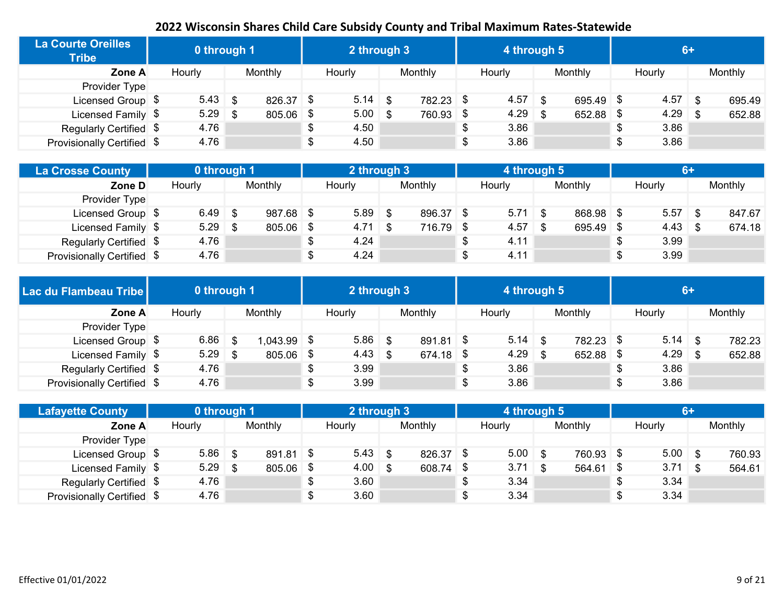| <b>La Courte Oreilles</b><br><b>Tribe</b> | 0 through 1 |      |             |  | 2 through 3 |           | 4 through 5 |      |             | $6+$       |         |
|-------------------------------------------|-------------|------|-------------|--|-------------|-----------|-------------|------|-------------|------------|---------|
| Zone A                                    | Hourly      |      | Monthly     |  | Hourly      | Monthly   | Hourly      |      | Monthly     | Hourly     | Monthly |
| Provider Type                             |             |      |             |  |             |           |             |      |             |            |         |
| Licensed Group \$                         | $5.43$ \$   |      | 826.37 \$   |  | $5.14$ \$   | 782.23 \$ | 4.57        | - \$ | $695.49$ \$ | $4.57$ \$  | 695.49  |
| Licensed Family \$                        | 5.29        | - \$ | $805.06$ \$ |  | $5.00$ \$   | 760.93 \$ | 4.29        |      | $652.88$ \$ | $4.29$ \$  | 652.88  |
| Regularly Certified \$                    | 4.76        |      |             |  | 4.50        |           | \$<br>3.86  |      |             | \$<br>3.86 |         |
| Provisionally Certified \$                | 4.76        |      |             |  | 4.50        |           | \$<br>3.86  |      |             | \$<br>3.86 |         |

| <b>La Crosse County</b>    | 0 through 1 |         |    | 2 through 3 |           | 4 through 5 |           |            | $6+$ |         |
|----------------------------|-------------|---------|----|-------------|-----------|-------------|-----------|------------|------|---------|
| Zone D                     | Hourly      | Monthly |    | Hourly      | Monthly   | Hourly      | Monthly   | Hourly     |      | Monthly |
| Provider Type              |             |         |    |             |           |             |           |            |      |         |
| Licensed Group \$          | $6.49$ \$   | 987.68  | \$ | $5.89$ \$   | 896.37 \$ | $5.71$ \$   | 868.98 \$ |            |      | 847.67  |
| Licensed Family \$         | $5.29$ \$   | 805.06  | \$ | $4.71$ \$   | 716.79 \$ | 4.57        | 695.49    | $4.43$ \$  |      | 674.18  |
| Regularly Certified \$     | 4.76        |         | Φ  | 4.24        |           | 4.11        |           | \$<br>3.99 |      |         |
| Provisionally Certified \$ | 4.76        |         |    | 4.24        |           | 4.11        |           | \$<br>3.99 |      |         |

| Lac du Flambeau Tribe      | 0 through 1 |                |      | 2 through 3 |             |   | 4 through 5 |           |            | <b>6+</b> |         |
|----------------------------|-------------|----------------|------|-------------|-------------|---|-------------|-----------|------------|-----------|---------|
| Zone A                     | Hourly      | <b>Monthly</b> |      | Hourly      | Monthly     |   | Hourly      | Monthly   | Hourly     |           | Monthly |
| Provider Type              |             |                |      |             |             |   |             |           |            |           |         |
| Licensed Group \$          | $6.86$ \$   | .043.99        | - \$ | $5.86$ \$   | $891.81$ \$ |   |             | 782.23 \$ | $5.14$ \$  |           | 782.23  |
| Licensed Family \$         | $5.29$ \$   | 805.06         | \$   | $4.43$ \$   | 674.18 \$   |   | $4.29$ \$   | 652.88    | $4.29$ \$  |           | 652.88  |
| Regularly Certified \$     | 4.76        |                |      | 3.99        |             | S | 3.86        |           | \$<br>3.86 |           |         |
| Provisionally Certified \$ | 4.76        |                |      | 3.99        |             | S | 3.86        |           | \$<br>3.86 |           |         |

| <b>Lafayette County</b>    | 0 through 1 |     |           | 2 through 3        |           | 4 through 5 |             |            | 6+ |         |
|----------------------------|-------------|-----|-----------|--------------------|-----------|-------------|-------------|------------|----|---------|
| Zone A                     | Hourly      |     | Monthly   | Hourly             | Monthly   | Hourly      | Monthly     | Hourly     |    | Monthly |
| Provider Type              |             |     |           |                    |           |             |             |            |    |         |
| Licensed Group \$          | 5.86        | _\$ | 891.81 \$ | $5.43$ \$          | 826.37 \$ | $5.00$ \$   | 760.93 \$   | $5.00$ \$  |    | 760.93  |
| Licensed Family \$         | 5.29        |     | 805.06 \$ | $4.00 \, \text{S}$ | 608.74 \$ | $3.71$ \$   | $564.61$ \$ | $3.71$ \$  |    | 564.61  |
| Regularly Certified \$     | 4.76        |     |           | 3.60               |           | 3.34        |             | \$<br>3.34 |    |         |
| Provisionally Certified \$ | 4.76        |     |           | 3.60               |           | 3.34        |             | \$<br>3.34 |    |         |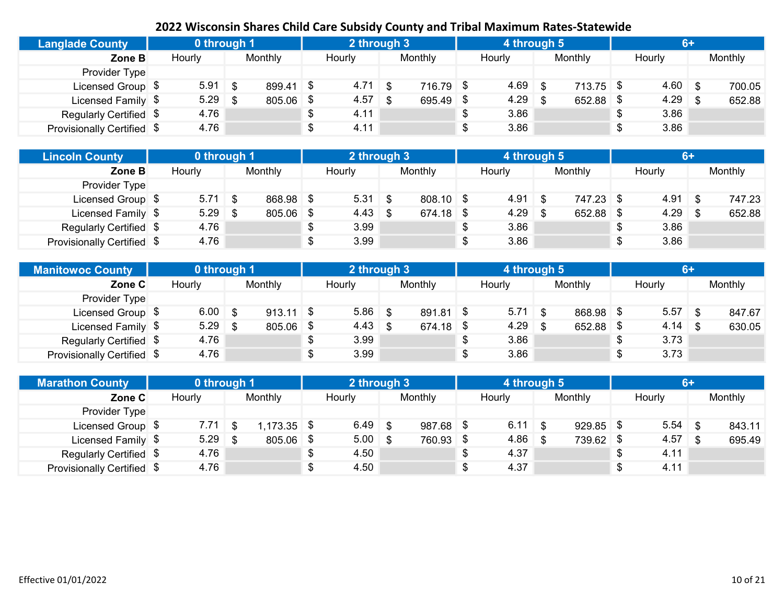| <b>Langlade County</b>     | 0 through 1 |     |           | 2 through 3 |           | 4 through 5 |             | GA         |         |
|----------------------------|-------------|-----|-----------|-------------|-----------|-------------|-------------|------------|---------|
| Zone B                     | Hourly      |     | Monthly   | Hourly      | Monthly   | Hourly      | Monthly     | Hourly     | Monthly |
| Provider Type              |             |     |           |             |           |             |             |            |         |
| Licensed Group \$          | $5.91$ \$   |     | 899.41 \$ | $4.71$ \$   | 716.79 \$ | 4.69        | $713.75$ \$ | $4.60$ \$  | 700.05  |
| Licensed Family \$         | 5.29        | -\$ | 805.06 \$ | $4.57$ \$   | 695.49 \$ | 4.29        | 652.88 \$   | $4.29$ \$  | 652.88  |
| Regularly Certified \$     | 4.76        |     |           | 4.11        |           | 3.86        |             | \$<br>3.86 |         |
| Provisionally Certified \$ | 4.76        |     |           | 4.11        |           | 3.86        |             | \$<br>3.86 |         |

| <b>Lincoln County</b>      | 0 through 1 |           |     | 2 through 3     |             | 4 through 5 |           | 6+         |         |
|----------------------------|-------------|-----------|-----|-----------------|-------------|-------------|-----------|------------|---------|
| Zone B                     | Hourly      | Monthly   |     | Hourly          | Monthly     | Hourly      | Monthly   | Hourly     | Monthly |
| Provider Type              |             |           |     |                 |             |             |           |            |         |
| Licensed Group \$          | $5.71$ \$   | 868.98 \$ |     | $5.31$ \$       | $808.10$ \$ | $4.91$ \$   | 747.23 \$ | $4.91$ \$  | 747.23  |
| Licensed Family \$         | $5.29$ \$   | 805.06    | -\$ | $4.43 \quad$ \$ | 674.18 \$   | $4.29$ \$   | 652.88    | $4.29$ \$  | 652.88  |
| Regularly Certified \$     | 4.76        |           | \$  | 3.99            |             | 3.86        |           | \$<br>3.86 |         |
| Provisionally Certified \$ | 4.76        |           |     | 3.99            |             | 3.86        |           | \$<br>3.86 |         |

| <b>Manitowoc County</b>    | 0 through 1 |             |    | 2 through 3 |             | 4 through 5 |           | $6+$        |         |
|----------------------------|-------------|-------------|----|-------------|-------------|-------------|-----------|-------------|---------|
| Zone C                     | Hourly      | Monthly     |    | Hourly      | Monthly     | Hourly      | Monthly   | Hourly      | Monthly |
| Provider Type              |             |             |    |             |             |             |           |             |         |
| Licensed Group \$          | $6.00$ \$   | $913.11$ \$ |    | $5.86$ \$   | 891.81 \$   | 5.71        | 868.98 \$ | $5.57$ \ \$ | 847.67  |
| Licensed Family \$         | $5.29$ \$   | 805.06      | \$ | $4.43$ \$   | $674.18$ \$ | 4.29        | 652.88 \$ | $4.14$ \$   | 630.05  |
| Regularly Certified \$     | 4.76        |             | νD | 3.99        |             | 3.86        |           | 3.73        |         |
| Provisionally Certified \$ | 4.76        |             |    | 3.99        |             | 3.86        |           | 3.73        |         |

| <b>Marathon County</b>     | 0 through 1 |              |      | 2 through 3 |             | 4 through 5 |             | 6+         |         |
|----------------------------|-------------|--------------|------|-------------|-------------|-------------|-------------|------------|---------|
| Zone C                     | Hourly      | Monthly      |      | Hourly      | Monthly     | Hourly      | Monthly     | Hourly     | Monthly |
| Provider Type              |             |              |      |             |             |             |             |            |         |
| Licensed Group \$          | $7.71 \&$   | $,173.35$ \$ |      | $6.49$ \$   | $987.68$ \$ | $6.11$ \$   | $929.85$ \$ |            | 843.11  |
| Licensed Family \$         | $5.29$ \$   | 805.06       | - \$ | $5.00$ \$   | 760.93 \$   | $4.86$ \$   | 739.62 \$   | $4.57$ \$  | 695.49  |
| Regularly Certified \$     | 4.76        |              |      | 4.50        |             | 4.37        |             | \$<br>4.11 |         |
| Provisionally Certified \$ | 4.76        |              |      | 4.50        |             | 4.37        |             | \$<br>4.11 |         |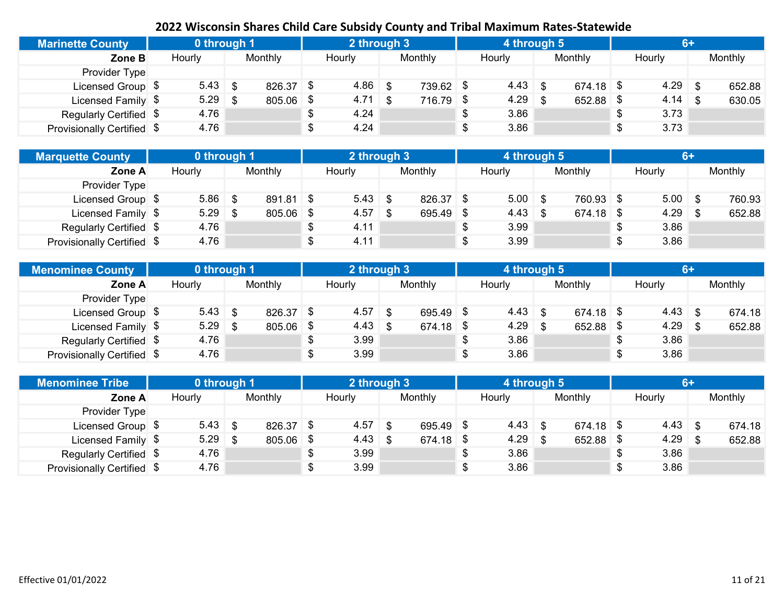| <b>Marinette County</b>    | 0 through 1 |     |           | 2 through 3 |             | 4 through 5     |             | $6+$       |         |
|----------------------------|-------------|-----|-----------|-------------|-------------|-----------------|-------------|------------|---------|
| Zone B                     | Hourly      |     | Monthly   | Hourly      | Monthly     | Hourly          | Monthly     | Hourly     | Monthly |
| Provider Type              |             |     |           |             |             |                 |             |            |         |
| Licensed Group \$          | $5.43$ \$   |     | 826.37 \$ | $4.86$ \$   | 739.62 \$   | $4.43 \quad$ \$ | $674.18$ \$ | $4.29$ \$  | 652.88  |
| Licensed Family \$         | 5.29        | -\$ | 805.06 \$ | $4.71$ \$   | $716.79$ \$ | 4.29            | 652.88 \$   | $4.14$ \$  | 630.05  |
| Regularly Certified \$     | 4.76        |     |           | 4.24        |             | 3.86            |             | \$<br>3.73 |         |
| Provisionally Certified \$ | 4.76        |     |           | 4.24        |             | 3.86            |             | \$<br>3.73 |         |

| <b>Marquette County</b>    | 0 through 1 |             | 2 through 3 |           | 4 through 5 |             | $6+$       |         |
|----------------------------|-------------|-------------|-------------|-----------|-------------|-------------|------------|---------|
| Zone A                     | Hourly      | Monthly     | Hourly      | Monthly   | Hourly      | Monthly     | Hourly     | Monthly |
| Provider Type              |             |             |             |           |             |             |            |         |
| Licensed Group \$          | $5.86$ \$   | $891.81$ \$ | $5.43$ \$   | 826.37 \$ | $5.00$ \$   | 760.93 \$   | $5.00$ \$  | 760.93  |
| Licensed Family \$         | $5.29$ \$   | 805.06 \$   | $4.57$ \$   | 695.49 \$ | $4.43$ \$   | $674.18$ \$ | $4.29$ \$  | 652.88  |
| Regularly Certified \$     | 4.76        |             | 4.11        |           | 3.99        |             | 3.86       |         |
| Provisionally Certified \$ | 4.76        |             | 4.11        |           | 3.99        |             | \$<br>3.86 |         |

| <b>Menominee County</b>    | 0 through 1 |                |      | 2 through 3     |           | 4 through 5     |             |   | $6+$            |         |
|----------------------------|-------------|----------------|------|-----------------|-----------|-----------------|-------------|---|-----------------|---------|
| Zone A                     | Hourly      | <b>Monthly</b> |      | Hourly          | Monthly   | Hourly          | Monthly     |   | Hourly          | Monthly |
| Provider Type              |             |                |      |                 |           |                 |             |   |                 |         |
| Licensed Group \$          |             | 826.37         | - \$ | $4.57$ \$       | 695.49 \$ | $4.43 \quad$ \$ | $674.18$ \$ |   | $4.43 \quad$ \$ | 674.18  |
| Licensed Family \$         | $5.29$ \$   | 805.06         | S.   | $4.43 \quad$ \$ | 674.18 \$ | 4.29            | 652.88 \$   |   | $4.29$ \$       | 652.88  |
| Regularly Certified \$     | 4.76        |                | \$   | 3.99            |           | 3.86            |             |   | 3.86            |         |
| Provisionally Certified \$ | 4.76        |                | \$   | 3.99            |           | 3.86            |             | ¢ | 3.86            |         |

| <b>Menominee Tribe</b>     | 0 through 1 |           |     | 2 through 3     |           | 4 through 5     |             | $6+$            |         |
|----------------------------|-------------|-----------|-----|-----------------|-----------|-----------------|-------------|-----------------|---------|
| Zone A                     | Hourly      | Monthly   |     | Hourly          | Monthly   | Hourly          | Monthly     | Hourly          | Monthly |
| Provider Type              |             |           |     |                 |           |                 |             |                 |         |
| Licensed Group \$          | $5.43$ \$   | 826.37    | ∣\$ | $4.57$ \$       | 695.49 \$ | $4.43 \quad$ \$ | $674.18$ \$ | $4.43 \quad$ \$ | 674.18  |
| Licensed Family \$         | $5.29$ \$   | 805.06 \$ |     | $4.43 \quad$ \$ | 674.18 \$ | $4.29$ \$       | $652.88$ \$ | $4.29$ \$       | 652.88  |
| Regularly Certified \$     | 4.76        |           |     | 3.99            |           | 3.86            |             | 3.86            |         |
| Provisionally Certified \$ | 4.76        |           |     | 3.99            |           | 3.86            |             | \$<br>3.86      |         |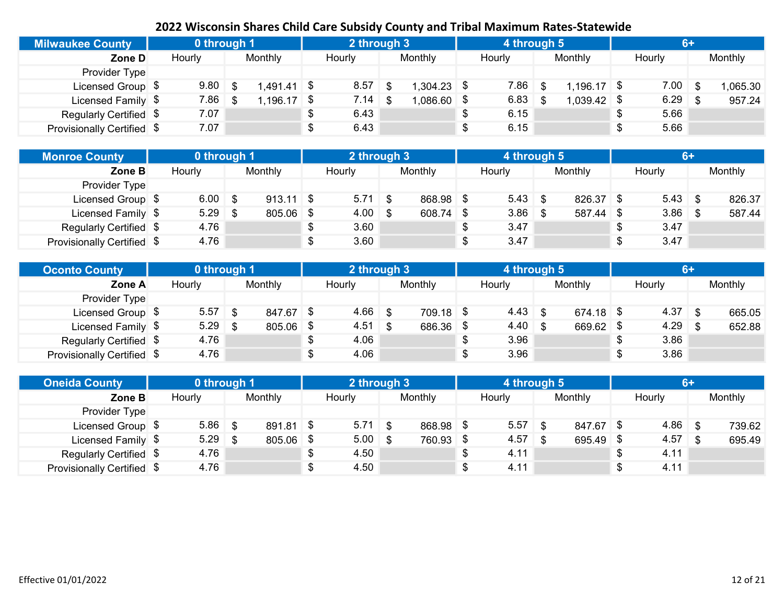| <b>Milwaukee County</b>    | 0 through 1 |     |               | 2 through 3 |               | 4 through 5 |               |             |         |
|----------------------------|-------------|-----|---------------|-------------|---------------|-------------|---------------|-------------|---------|
| Zone D                     | Hourly      |     | Monthly       | Hourly      | Monthly       | Hourly      | Monthly       | Hourly      | Monthly |
| Provider Type              |             |     |               |             |               |             |               |             |         |
| Licensed Group \$          | 9.80        | .\$ | $1,491.41$ \$ | $8.57$ \$   | $.304.23$ \$  | 7.86        | $1,196.17$ \$ | $7.00 \t S$ | ,065.30 |
| Licensed Family \$         | 7.86        | -\$ | $1,196.17$ \$ | $7.14$ \$   | $0.086.60$ \$ | 6.83        | $1,039.42$ \$ | $6.29$ \$   | 957.24  |
| Regularly Certified \$     | 7.07        |     |               | 6.43        |               | 6.15        |               | 5.66        |         |
| Provisionally Certified \$ | 7.07        |     |               | 6.43        |               | 6.15        |               | 5.66        |         |

| <b>Monroe County</b>       | 0 through 1 |             | 2 through 3     |           | 4 through 5 |             | 6+         |         |
|----------------------------|-------------|-------------|-----------------|-----------|-------------|-------------|------------|---------|
| Zone B                     | Hourly      | Monthly     | Hourly          | Monthly   | Hourly      | Monthly     | Hourly     | Monthly |
| Provider Type              |             |             |                 |           |             |             |            |         |
| Licensed Group \$          | $6.00$ \$   | $913.11$ \$ | $5.71$ \$       | 868.98 \$ | $5.43$ \$   | $826.37$ \$ | $5.43$ \$  | 826.37  |
| Licensed Family \$         | $5.29$ \$   | 805.06      | \$<br>$4.00$ \$ | 608.74 \$ | $3.86$ \$   | 587.44      | $3.86$ \$  | 587.44  |
| Regularly Certified \$     | 4.76        |             | 3.60            |           | 3.47        |             | \$<br>3.47 |         |
| Provisionally Certified \$ | 4.76        |             | 3.60            |           | 3.47        |             | \$<br>3.47 |         |

| <b>Oconto County</b>       | 0 through 1 |      |           | 2 through 3 |             | 4 through 5     |             | $6+$      |         |
|----------------------------|-------------|------|-----------|-------------|-------------|-----------------|-------------|-----------|---------|
| Zone A                     | Hourly      |      | Monthly   | Hourly      | Monthly     | Hourly          | Monthly     | Hourly    | Monthly |
| Provider Type              |             |      |           |             |             |                 |             |           |         |
| Licensed Group \$          | 5.57        | - \$ | 847.67 \$ | $4.66$ \$   | $709.18$ \$ | $4.43 \quad$ \$ | $674.18$ \$ | $4.37$ \$ | 665.05  |
| Licensed Family \$         | $5.29$ \$   |      | 805.06 \$ | $4.51$ \$   | 686.36 \$   | $4.40 \quad$ \$ | 669.62 \$   | $4.29$ \$ | 652.88  |
| Regularly Certified \$     | 4.76        |      |           | 4.06        |             | 3.96            |             | 3.86      |         |
| Provisionally Certified \$ | 4.76        |      |           | 4.06        |             | 3.96            |             | 3.86      |         |

| <b>Oneida County</b>       | 0 through 1 |           |     | 2 through 3 |           | 4 through 5 |         | <b>6+</b>  |         |
|----------------------------|-------------|-----------|-----|-------------|-----------|-------------|---------|------------|---------|
| Zone B                     | Hourly      | Monthly   |     | Hourly      | Monthly   | Hourly      | Monthly | Hourly     | Monthly |
| Provider Type              |             |           |     |             |           |             |         |            |         |
| Licensed Group \$          | $5.86$ \$   | 891.81 \$ |     | $5.71$ \$   | 868.98 \$ | 5.57        | 847.67  | $4.86$ \$  | 739.62  |
| Licensed Family \$         | $5.29$ \$   | 805.06    | -\$ | $5.00$ \$   | 760.93 \$ | 4.57        | 695.49  | $4.57$ \$  | 695.49  |
| Regularly Certified \$     | 4.76        |           | \$  | 4.50        |           | 4.11        |         | \$<br>4.11 |         |
| Provisionally Certified \$ | 4.76        |           |     | 4.50        |           | 4.11        |         | \$<br>4.11 |         |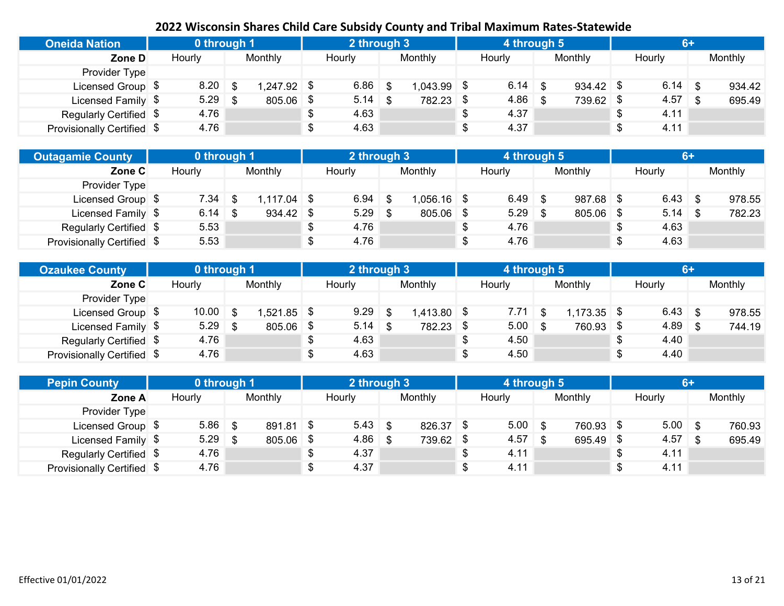| <b>Oneida Nation</b>       | 0 through 1 |     |             | 2 through 3 |               | 4 through 5 |             | 6+         |         |
|----------------------------|-------------|-----|-------------|-------------|---------------|-------------|-------------|------------|---------|
| Zone D                     | Hourly      |     | Monthly     | Hourly      | Monthly       | Hourly      | Monthly     | Hourly     | Monthly |
| Provider Type              |             |     |             |             |               |             |             |            |         |
| Licensed Group \$          | 8.20        | -\$ | 1,247.92 \$ | $6.86$ \$   | $1,043.99$ \$ | 6.14        | $934.42$ \$ | $6.14$ \$  | 934.42  |
| Licensed Family \$         | 5.29        |     | 805.06 \$   | $5.14$ \$   | 782.23 \$     | 4.86        | 739.62 \$   | $4.57$ \$  | 695.49  |
| Regularly Certified \$     | 4.76        |     |             | 4.63        |               | 4.37        |             | \$<br>4.11 |         |
| Provisionally Certified \$ | 4.76        |     |             | 4.63        |               | 4.37        |             | \$<br>4.11 |         |

| <b>Outagamie County</b>    | 0 through 1 |              |   | 2 through 3 |               | 4 through 5 |             | 6+          |         |
|----------------------------|-------------|--------------|---|-------------|---------------|-------------|-------------|-------------|---------|
| Zone C                     | Hourly      | Monthly      |   | Hourly      | Monthly       | Hourly      | Monthly     | Hourly      | Monthly |
| Provider Type              |             |              |   |             |               |             |             |             |         |
| Licensed Group \$          | $7.34$ \$   | $.117.04$ \$ |   | $6.94$ \$   | $1,056.16$ \$ | $6.49$ \$   | $987.68$ \$ | $6.43$ \$   | 978.55  |
| Licensed Family \$         | $6.14$ \$   | 934.42       | 8 | $5.29$ \$   | 805.06 \$     | $5.29$ \$   | $805.06$ \$ | $5.14$ \ \$ | 782.23  |
| Regularly Certified \$     | 5.53        |              |   | 4.76        |               | 4.76        |             | \$<br>4.63  |         |
| Provisionally Certified \$ | 5.53        |              |   | 4.76        |               | 4.76        |             | \$<br>4.63  |         |

| <b>Ozaukee County</b>      | 0 through 1 |           |      | 2 through 3 |               | 4 through 5 |               |   | $6+$      |         |
|----------------------------|-------------|-----------|------|-------------|---------------|-------------|---------------|---|-----------|---------|
| Zone C                     | Hourly      | Monthly   |      | Hourly      | Monthly       | Hourly      | Monthly       |   | Hourly    | Monthly |
| Provider Type              |             |           |      |             |               |             |               |   |           |         |
| Licensed Group \$          | $10.00$ \$  | ,521.85   | - \$ | $9.29$ \$   | $1,413.80$ \$ | $7.71 \&$   | $1,173.35$ \$ |   |           | 978.55  |
| Licensed Family \$         | $5.29$ \$   | 805.06 \$ |      |             | 782.23 \$     | 5.00        | 760.93 \$     |   | $4.89$ \$ | 744.19  |
| Regularly Certified \$     | 4.76        |           |      | 4.63        |               | 4.50        |               | Ъ | 4.40      |         |
| Provisionally Certified \$ | 4.76        |           |      | 4.63        |               | 4.50        |               |   | 4.40      |         |

| <b>Pepin County</b>        | 0 through 1 |           |      | 2 through 3 |           |    | 4 through 5 |           |      |           | 6+ |         |
|----------------------------|-------------|-----------|------|-------------|-----------|----|-------------|-----------|------|-----------|----|---------|
| Zone A                     | Hourly      | Monthly   |      | Hourly      | Monthly   |    | Hourly      | Monthly   |      | Hourly    |    | Monthly |
| Provider Type              |             |           |      |             |           |    |             |           |      |           |    |         |
| Licensed Group \$          | $5.86$ \$   | 891.81 \$ |      | $5.43$ \$   | 826.37 \$ |    | $5.00$ \$   | 760.93 \$ |      | $5.00$ \$ |    | 760.93  |
| Licensed Family \$         | $5.29$ \$   | 805.06    | - \$ | $4.86$ \$   | 739.62 \$ |    | $4.57$ \$   | 695.49    | - \$ | $4.57$ \$ |    | 695.49  |
| Regularly Certified \$     | 4.76        |           | \$   | 4.37        |           | S  | 4.11        |           | \$   | 4.11      |    |         |
| Provisionally Certified \$ | 4.76        |           |      | 4.37        |           | \$ | 4.11        |           | \$   | 4.11      |    |         |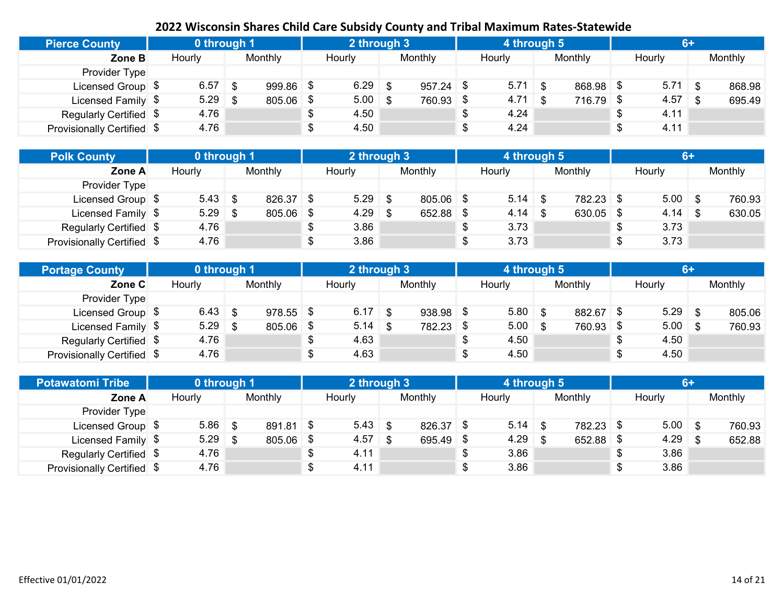| <b>Pierce County</b>       | 0 through 1 |      |           | 2 through 3        |             | 4 through 5 |           | $6+$      |         |
|----------------------------|-------------|------|-----------|--------------------|-------------|-------------|-----------|-----------|---------|
| Zone B                     | Hourly      |      | Monthly   | Hourly             | Monthly     | Hourly      | Monthly   | Hourly    | Monthly |
| Provider Type              |             |      |           |                    |             |             |           |           |         |
| Licensed Group \$          | 6.57        | \$.  | 999.86 \$ | $6.29$ \$          | $957.24$ \$ | $5.71$ \$   | 868.98 \$ | $5.71$ \$ | 868.98  |
| Licensed Family \$         | 5.29        | . \$ | 805.06 \$ | $5.00 \, \text{S}$ | 760.93 \$   | $4.71$ \$   | 716.79 \$ | $4.57$ \$ | 695.49  |
| Regularly Certified \$     | 4.76        |      |           | 4.50               |             | 4.24        |           | 4.11      |         |
| Provisionally Certified \$ | 4.76        |      |           | 4.50               |             | 4.24        |           | 4.11      |         |

| <b>Polk County</b>         | 0 through 1 |           |   | 2 through 3 |           |   | 4 through 5 |             | 6+         |         |
|----------------------------|-------------|-----------|---|-------------|-----------|---|-------------|-------------|------------|---------|
| Zone A                     | Hourly      | Monthly   |   | Hourly      | Monthly   |   | Hourly      | Monthly     | Hourly     | Monthly |
| Provider Type              |             |           |   |             |           |   |             |             |            |         |
| Licensed Group \$          | $5.43$ \$   | 826.37 \$ |   | $5.29$ \$   | 805.06 \$ |   | $5.14$ \ \$ | 782.23 \$   | $5.00$ \$  | 760.93  |
| Licensed Family \$         | $5.29$ \$   | 805.06    | 8 | $4.29$ \$   | 652.88 \$ |   | $4.14$ \$   | $630.05$ \$ |            | 630.05  |
| Regularly Certified \$     | 4.76        |           |   | 3.86        |           |   | 3.73        |             | \$<br>3.73 |         |
| Provisionally Certified \$ | 4.76        |           |   | 3.86        |           | S | 3.73        |             | \$<br>3.73 |         |

| <b>Portage County</b>      | 0 through 1 |             | 2 through 3     |             | 4 through 5 |           | 67         |         |
|----------------------------|-------------|-------------|-----------------|-------------|-------------|-----------|------------|---------|
| Zone C                     | Hourly      | Monthly     | Hourly          | Monthly     | Hourly      | Monthly   | Hourly     | Monthly |
| Provider Type              |             |             |                 |             |             |           |            |         |
| Licensed Group \$          | $6.43$ \$   | $978.55$ \$ | $6.17$ \$       | $938.98$ \$ | 5.80        | 882.67 \$ | $5.29$ \$  | 805.06  |
| Licensed Family \$         | $5.29$ \$   | 805.06      | \$<br>$5.14$ \$ | 782.23 \$   | 5.00        | 760.93 \$ | $5.00$ \$  | 760.93  |
| Regularly Certified \$     | 4.76        |             | 4.63            |             | 4.50        |           | 4.50       |         |
| Provisionally Certified \$ | 4.76        |             | 4.63            |             | 4.50        |           | \$<br>4.50 |         |

| <b>Potawatomi Tribe</b>           | 0 through 1 |         |      | 2 through 3 |           | 4 through 5 |           | $6+$       |         |
|-----------------------------------|-------------|---------|------|-------------|-----------|-------------|-----------|------------|---------|
| Zone A                            | Hourly      | Monthly |      | Hourly      | Monthly   | Hourly      | Monthly   | Hourly     | Monthly |
| Provider Type                     |             |         |      |             |           |             |           |            |         |
| Licensed Group \$                 | $5.86$ \$   | 891.81  | ∣\$  | $5.43$ \$   | 826.37 \$ | $5.14$ \ \$ | 782.23 \$ | $5.00$ \$  | 760.93  |
| Licensed Family \$                | $5.29$ \$   | 805.06  | - \$ | $4.57$ \$   | 695.49 \$ | $4.29$ \$   | 652.88    | $4.29$ \$  | 652.88  |
| Regularly Certified \$            | 4.76        |         |      | 4.11        |           | 3.86        |           | \$<br>3.86 |         |
| <b>Provisionally Certified \$</b> | 4.76        |         |      | 4.11        |           | 3.86        |           | \$<br>3.86 |         |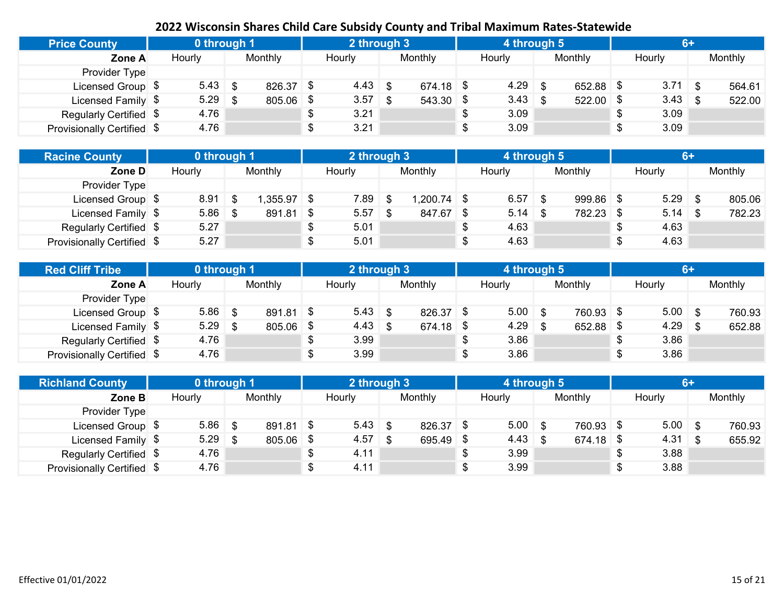| <b>Price County</b>        | 0 through 1 |     |           | 2 through 3     |     |             | 4 through 5 |      |             | $6+$       |         |
|----------------------------|-------------|-----|-----------|-----------------|-----|-------------|-------------|------|-------------|------------|---------|
| Zone A                     | Hourly      |     | Monthly   | Hourly          |     | Monthly     | Hourly      |      | Monthly     | Hourly     | Monthly |
| Provider Type              |             |     |           |                 |     |             |             |      |             |            |         |
| Licensed Group \$          | $5.43$ \$   |     | 826.37 \$ | $4.43 \quad$ \$ |     | $674.18$ \$ | 4.29        | - \$ | $652.88$ \$ | $3.71$ \$  | 564.61  |
| Licensed Family \$         | 5.29        | ∣\$ | 805.06    | 3.57            | -\$ | 543.30 \$   | $3.43$ \$   |      | $522.00$ \$ | $3.43$ \$  | 522.00  |
| Regularly Certified \$     | 4.76        |     |           | 3.21            |     |             | 3.09        |      |             | \$<br>3.09 |         |
| Provisionally Certified \$ | 4.76        |     |           | 3.21            |     |             | 3.09        |      |             | \$<br>3.09 |         |

| <b>Racine County</b>       | 0 through 1 |         |      | 2 through 3 |             |    | 4 through 5 |             | $6+$       |         |
|----------------------------|-------------|---------|------|-------------|-------------|----|-------------|-------------|------------|---------|
| Zone D                     | Hourly      | Monthly |      | Hourly      | Monthly     |    | Hourly      | Monthly     | Hourly     | Monthly |
| Provider Type              |             |         |      |             |             |    |             |             |            |         |
| Licensed Group \$          | 8.91        | ,355.97 | - \$ | $7.89$ \$   | 1,200.74 \$ |    | $6.57$ \$   | $999.86$ \$ | $5.29$ \$  | 805.06  |
| Licensed Family \$         | $5.86$ \$   | 891.81  | \$   | $5.57$ \$   | 847.67 \$   |    | $5.14$ \ \$ | 782.23 \$   | $5.14$ \$  | 782.23  |
| Regularly Certified \$     | 5.27        |         |      | 5.01        |             | \$ | 4.63        |             | \$<br>4.63 |         |
| Provisionally Certified \$ | 5.27        |         |      | 5.01        |             | S  | 4.63        |             | \$<br>4.63 |         |

| <b>Red Cliff Tribe</b>     | 0 through 1 |             |    | 2 through 3     |             | 4 through 5 |           | <b>6+</b>  |         |
|----------------------------|-------------|-------------|----|-----------------|-------------|-------------|-----------|------------|---------|
| Zone A                     | Hourly      | Monthly     |    | Hourly          | Monthly     | Hourly      | Monthly   | Hourly     | Monthly |
| Provider Type              |             |             |    |                 |             |             |           |            |         |
| Licensed Group \$          | $5.86$ \$   | $891.81$ \$ |    | $5.43$ \$       | $826.37$ \$ | $5.00$ \$   | 760.93 \$ | $5.00$ \$  | 760.93  |
| Licensed Family \$         | $5.29$ \$   | 805.06      | -S | $4.43 \quad$ \$ | 674.18 \$   | $4.29$ \$   | 652.88 \$ | $4.29$ \$  | 652.88  |
| Regularly Certified \$     | 4.76        |             | \$ | 3.99            |             | 3.86        |           | 3.86       |         |
| Provisionally Certified \$ | 4.76        |             |    | 3.99            |             | 3.86        |           | \$<br>3.86 |         |

| <b>Richland County</b>     | 0 through 1 |           |      | 2 through 3 |           | 4 through 5 |             |    |           | $6+$ |         |
|----------------------------|-------------|-----------|------|-------------|-----------|-------------|-------------|----|-----------|------|---------|
| Zone B                     | Hourly      | Monthly   |      | Hourly      | Monthly   | Hourly      | Monthly     |    | Hourly    |      | Monthly |
| Provider Type              |             |           |      |             |           |             |             |    |           |      |         |
| Licensed Group \$          | $5.86$ \$   | 891.81 \$ |      | $5.43$ \$   | 826.37 \$ | $5.00$ \$   | 760.93 \$   |    | $5.00$ \$ |      | 760.93  |
| Licensed Family \$         | $5.29$ \$   | 805.06    | - \$ | $4.57$ \$   | 695.49 \$ | $4.43$ \$   | $674.18$ \$ |    | $4.31$ \$ |      | 655.92  |
| Regularly Certified \$     | 4.76        |           |      | 4.11        |           | 3.99        |             | ა  | 3.88      |      |         |
| Provisionally Certified \$ | 4.76        |           |      | 4.11        |           | 3.99        |             | \$ | 3.88      |      |         |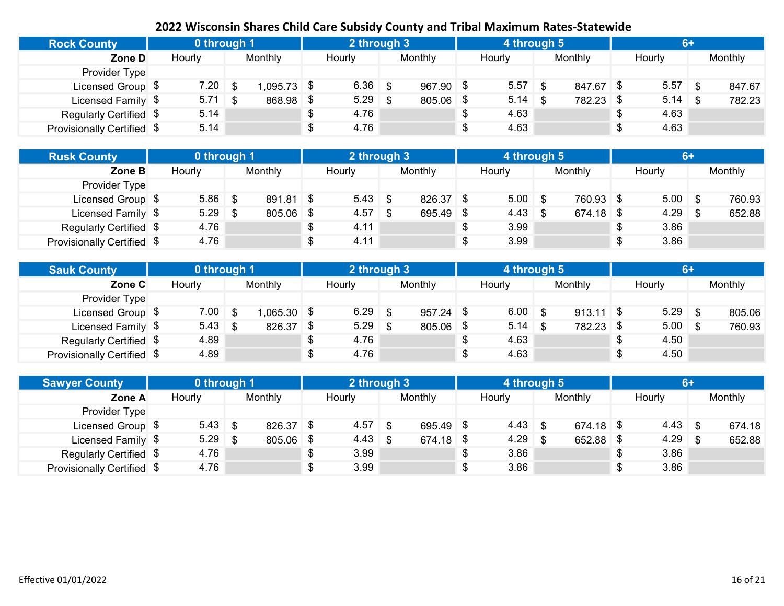| <b>Rock County</b>         | 0 through 1 |      |              | 2 through 3 |             | 4 through 5 |           | $6+$       |         |
|----------------------------|-------------|------|--------------|-------------|-------------|-------------|-----------|------------|---------|
| Zone D                     | Hourly      |      | Monthly      | Hourly      | Monthly     | Hourly      | Monthly   | Hourly     | Monthly |
| Provider Type              |             |      |              |             |             |             |           |            |         |
| Licensed Group \$          | 7.20        |      | $.095.73$ \$ | $6.36$ \$   | $967.90$ \$ | 5.57        | 847.67 \$ | $5.57$ \$  | 847.67  |
| Licensed Family \$         | 5.71        | - \$ | 868.98       | $5.29$ \$   | 805.06 \$   | 5.14        | 782.23 \$ | $5.14$ \$  | 782.23  |
| Regularly Certified \$     | 5.14        |      |              | 4.76        |             | 4.63        |           | \$<br>4.63 |         |
| Provisionally Certified \$ | 5.14        |      |              | 4.76        |             | 4.63        |           | \$<br>4.63 |         |

| <b>Rusk County</b>         | 0 through 1 |         |     | 2 through 3 |           | 4 through 5     |             |    | $6+$      |         |
|----------------------------|-------------|---------|-----|-------------|-----------|-----------------|-------------|----|-----------|---------|
| Zone B                     | Hourly      | Monthly |     | Hourly      | Monthly   | Hourly          | Monthly     |    | Hourly    | Monthly |
| Provider Type              |             |         |     |             |           |                 |             |    |           |         |
| Licensed Group \$          | $5.86$ \$   | 891.81  | ∣\$ | $5.43$ \$   | 826.37 \$ | $5.00$ \$       | 760.93 \$   |    | $5.00$ \$ | 760.93  |
| Licensed Family \$         | $5.29$ \$   | 805.06  |     | $4.57$ \$   | 695.49 \$ | $4.43 \quad$ \$ | $674.18$ \$ |    | $4.29$ \$ | 652.88  |
| Regularly Certified \$     | 4.76        |         |     | 4.11        |           | 3.99            |             | S. | 3.86      |         |
| Provisionally Certified \$ | 4.76        |         |     | 4.11        |           | 3.99            |             | \$ | 3.86      |         |

| <b>Sauk County</b>         | 0 through 1 |              | 2 through 3     |             | 4 through 5 |             | $6+$        |         |
|----------------------------|-------------|--------------|-----------------|-------------|-------------|-------------|-------------|---------|
| Zone C                     | Hourly      | Monthly      | Hourly          | Monthly     | Hourly      | Monthly     | Hourly      | Monthly |
| Provider Type              |             |              |                 |             |             |             |             |         |
| Licensed Group \$          | 7.00        | $.065.30$ \$ | $6.29$ \$       | $957.24$ \$ | 6.00        | $913.11$ \$ | $5.29$ \$   | 805.06  |
| Licensed Family \$         | $5.43$ \$   | 826.37       | \$<br>$5.29$ \$ | 805.06 \$   | 5.14        | 782.23 \$   | $5.00 \t S$ | 760.93  |
| Regularly Certified \$     | 4.89        |              | 4.76            |             | 4.63        |             | 4.50        |         |
| Provisionally Certified \$ | 4.89        |              | 4.76            |             | 4.63        |             | 4.50        |         |

| <b>Sawyer County</b>       | 0 through 1 |         |     | 2 through 3  |             |    | 4 through 5     |     |             |                 | 6+ |         |
|----------------------------|-------------|---------|-----|--------------|-------------|----|-----------------|-----|-------------|-----------------|----|---------|
| Zone A                     | Hourly      | Monthly |     | Hourly       | Monthly     |    | Hourly          |     | Monthly     | Hourly          |    | Monthly |
| Provider Type              |             |         |     |              |             |    |                 |     |             |                 |    |         |
| Licensed Group \$          | $5.43$ \$   | 826.37  | -\$ | $4.57$ \$    | 695.49 \$   |    | $4.43 \quad$ \$ |     | $674.18$ \$ | $4.43 \quad$ \$ |    | 674.18  |
| Licensed Family \$         | $5.29$ \$   | 805.06  | -\$ | $4.43 \quad$ | $674.18$ \$ |    | 4.29            | ∣\$ | 652.88      | $4.29$ \$       |    | 652.88  |
| Regularly Certified \$     | 4.76        |         | \$  | 3.99         |             | S  | 3.86            |     |             | \$<br>3.86      |    |         |
| Provisionally Certified \$ | 4.76        |         | \$  | 3.99         |             | \$ | 3.86            |     |             | \$<br>3.86      |    |         |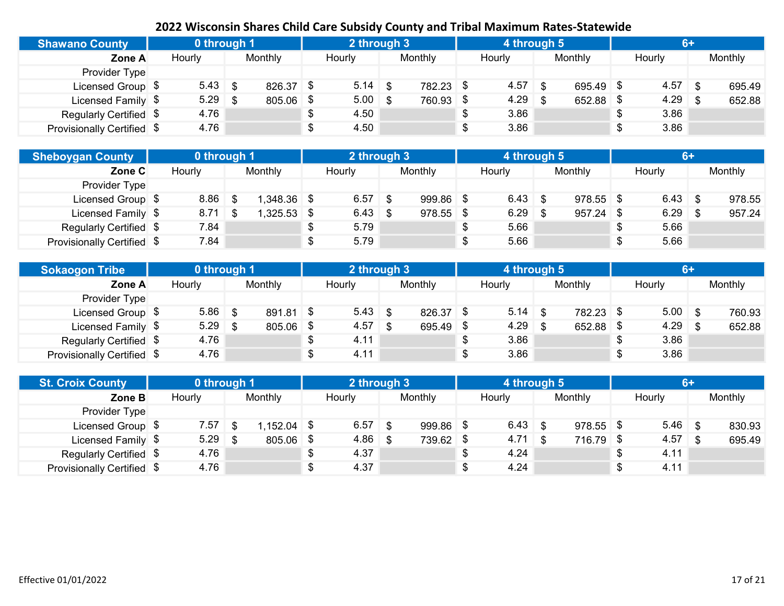| <b>Shawano County</b>      | 0 through 1 |             | 2 through 3 |           | 4 through 5 |             | $6+$       |         |
|----------------------------|-------------|-------------|-------------|-----------|-------------|-------------|------------|---------|
| Zone A                     | Hourly      | Monthly     | Hourly      | Monthly   | Hourly      | Monthly     | Hourly     | Monthly |
| Provider Type              |             |             |             |           |             |             |            |         |
| Licensed Group \$          | $5.43$ \$   | $826.37$ \$ | $5.14$ \$   | 782.23 \$ | 4.57        | $695.49$ \$ | $4.57$ \$  | 695.49  |
| Licensed Family \$         | 5.29        | 805.06 \$   | $5.00$ \$   | 760.93 \$ | 4.29        | 652.88      | $4.29$ \$  | 652.88  |
| Regularly Certified \$     | 4.76        |             | 4.50        |           | 3.86        |             | 3.86       |         |
| Provisionally Certified \$ | 4.76        |             | 4.50        |           | 3.86        |             | \$<br>3.86 |         |

| <b>Sheboygan County</b>    | 0 through 1 |              | 2 through 3 |             | 4 through 5 |             | $6+$       |         |
|----------------------------|-------------|--------------|-------------|-------------|-------------|-------------|------------|---------|
| Zone C                     | Hourly      | Monthly      | Hourly      | Monthly     | Hourly      | Monthly     | Hourly     | Monthly |
| Provider Type              |             |              |             |             |             |             |            |         |
| Licensed Group \$          | $8.86$ \$   | $.348.36$ \$ | $6.57$ \$   | 999.86 \$   | $6.43$ \$   | $978.55$ \$ | $6.43$ \$  | 978.55  |
| Licensed Family \$         | $8.71$ \$   | $,325.53$ \$ | $6.43$ \$   | $978.55$ \$ | $6.29$ \$   | 957.24      | $6.29$ \$  | 957.24  |
| Regularly Certified \$     | 7.84        |              | 5.79        |             | 5.66        |             | \$<br>5.66 |         |
| Provisionally Certified \$ | 7.84        |              | 5.79        |             | 5.66        |             | \$<br>5.66 |         |

| <b>Sokaogon Tribe</b>      | 0 through 1 |             |    | 2 through 3 |             | 4 through 5 |             | 67         |         |
|----------------------------|-------------|-------------|----|-------------|-------------|-------------|-------------|------------|---------|
| Zone A                     | Hourly      | Monthly     |    | Hourly      | Monthly     | Hourly      | Monthly     | Hourly     | Monthly |
| Provider Type              |             |             |    |             |             |             |             |            |         |
| Licensed Group \$          | $5.86$ \$   | $891.81$ \$ |    | $5.43$ \$   | $826.37$ \$ | 5.14        | 782.23 \$   | $5.00$ \$  | 760.93  |
| Licensed Family \$         | $5.29$ \$   | 805.06      | \$ | $4.57$ \$   | 695.49 \$   | 4.29        | $652.88$ \$ | $4.29$ \$  | 652.88  |
| Regularly Certified \$     | 4.76        |             | ง  | 4.11        |             | 3.86        |             | 3.86       |         |
| Provisionally Certified \$ | 4.76        |             |    | 4.11        |             | 3.86        |             | \$<br>3.86 |         |

| <b>St. Croix County</b>    | 0 through 1 |         |      | 2 through 3 |             | 4 through 5 |             | 6+         |         |
|----------------------------|-------------|---------|------|-------------|-------------|-------------|-------------|------------|---------|
| Zone B                     | Hourly      | Monthly |      | Hourly      | Monthly     | Hourly      | Monthly     | Hourly     | Monthly |
| Provider Type              |             |         |      |             |             |             |             |            |         |
| Licensed Group \$          | 7.57        | .152.04 |      | $6.57$ \$   | $999.86$ \$ | $6.43$ \$   | $978.55$ \$ | $5.46$ \$  | 830.93  |
| Licensed Family \$         | $5.29$ \$   | 805.06  | - \$ | $4.86$ \$   | 739.62 \$   | $4.71$ \$   | 716.79 \$   | $4.57$ \$  | 695.49  |
| Regularly Certified \$     | 4.76        |         |      | 4.37        |             | 4.24        |             | \$<br>4.11 |         |
| Provisionally Certified \$ | 4.76        |         |      | 4.37        |             | 4.24        |             | \$<br>4.11 |         |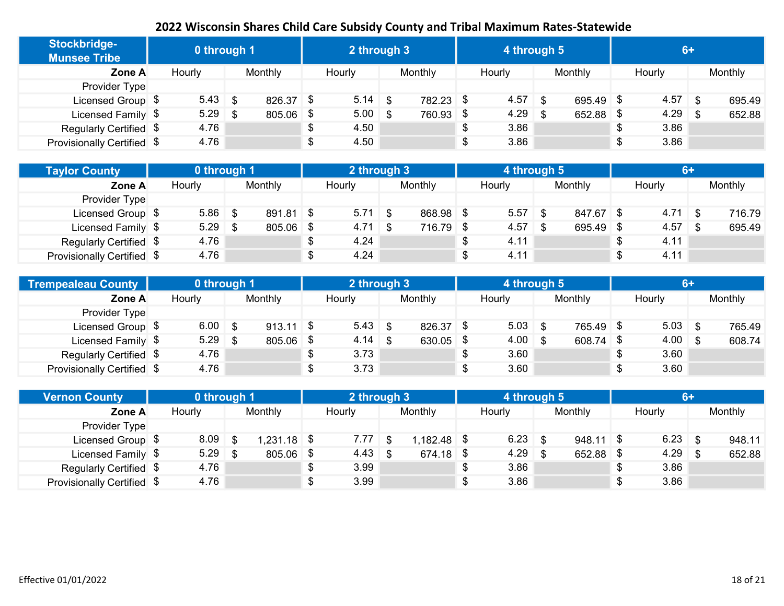| Stockbridge-<br><b>Munsee Tribe</b> | 0 through 1     |     |           |  | 2 through 3   |           | 4 through 5 |      |             | $6+$       |         |
|-------------------------------------|-----------------|-----|-----------|--|---------------|-----------|-------------|------|-------------|------------|---------|
| Zone A                              | Hourly          |     | Monthly   |  | <b>Hourly</b> | Monthly   | Hourly      |      | Monthly     | Hourly     | Monthly |
| Provider Type                       |                 |     |           |  |               |           |             |      |             |            |         |
| Licensed Group \$                   | $5.43 \quad$ \$ |     | 826.37 \$ |  | $5.14$ \$     | 782.23 \$ | 4.57        | \$   | 695.49 \$   | $4.57$ \$  | 695.49  |
| Licensed Family \$                  | 5.29            | -\$ | 805.06 \$ |  | $5.00$ \$     | 760.93 \$ | 4.29        | - \$ | $652.88$ \$ | $4.29$ \$  | 652.88  |
| Regularly Certified \$              | 4.76            |     |           |  | 4.50          |           | \$<br>3.86  |      |             | \$<br>3.86 |         |
| Provisionally Certified \$          | 4.76            |     |           |  | 4.50          |           | \$<br>3.86  |      |             | \$<br>3.86 |         |

| <b>Taylor County</b>       | 0 through 1 |           |     | 2 through 3 |           | 4 through 5 |           | 6+         |         |
|----------------------------|-------------|-----------|-----|-------------|-----------|-------------|-----------|------------|---------|
| Zone A                     | Hourly      | Monthly   |     | Hourly      | Monthly   | Hourly      | Monthly   | Hourly     | Monthly |
| Provider Type              |             |           |     |             |           |             |           |            |         |
| Licensed Group \$          | $5.86$ \$   | 891.81 \$ |     | $5.71$ \$   | 868.98 \$ | 5.57        | 847.67 \$ | $4.71$ \$  | 716.79  |
| Licensed Family \$         | $5.29$ \$   | 805.06    | -\$ | $4.71$ \$   | 716.79 \$ | 4.57        | 695.49    | $4.57$ \$  | 695.49  |
| Regularly Certified \$     | 4.76        |           |     | 4.24        |           | 4.11        |           | \$<br>4.11 |         |
| Provisionally Certified \$ | 4.76        |           |     | 4.24        |           | 4.11        |           | \$<br>4.11 |         |

| Trempealeau County         | 0 through 1 |             | 2 through 3     |             | 4 through 5        |           |                    |         |
|----------------------------|-------------|-------------|-----------------|-------------|--------------------|-----------|--------------------|---------|
| Zone A                     | Hourly      | Monthly     | Hourly          | Monthly     | Hourly             | Monthly   | Hourly             | Monthly |
| Provider Type              |             |             |                 |             |                    |           |                    |         |
| Licensed Group \$          | $6.00$ \$   | $913.11$ \$ | $5.43$ \$       | 826.37 \$   | 5.03               | 765.49 \$ | $5.03$ \$          | 765.49  |
| Licensed Family \$         | $5.29$ \$   | 805.06      | \$<br>$4.14$ \$ | $630.05$ \$ | $4.00 \, \text{S}$ | 608.74 \$ | $4.00 \, \text{S}$ | 608.74  |
| Regularly Certified \$     | 4.76        |             | 3.73            |             | 3.60               |           | 3.60               |         |
| Provisionally Certified \$ | 4.76        |             | 3.73            |             | 3.60               |           | 3.60               |         |

| <b>Vernon County</b>       | 0 through 1 |      |               | 2 through 3 |             | 4 through 5 |             | 6+              |         |
|----------------------------|-------------|------|---------------|-------------|-------------|-------------|-------------|-----------------|---------|
| Zone A                     | Hourly      |      | Monthly       | Hourly      | Monthly     | Hourly      | Monthly     | Hourly          | Monthly |
| Provider Type              |             |      |               |             |             |             |             |                 |         |
| Licensed Group \$          | 8.09        | -\$  | $1,231.18$ \$ | $7.77$ \$   | 1,182.48 \$ | $6.23$ \$   | $948.11$ \$ | $6.23$ \$       | 948.11  |
| Licensed Family \$         | 5.29        | - \$ | 805.06 \$     | $4.43$ \$   | $674.18$ \$ | $4.29$ \$   | 652.88      | \$<br>$4.29$ \$ | 652.88  |
| Regularly Certified \$     | 4.76        |      |               | 3.99        |             | 3.86        |             | \$<br>3.86      |         |
| Provisionally Certified \$ | 4.76        |      |               | 3.99        |             | 3.86        |             | \$<br>3.86      |         |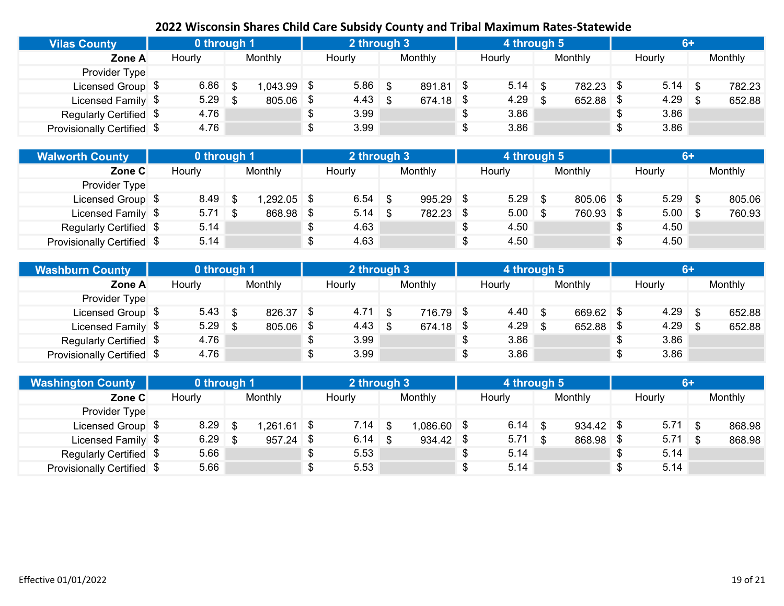| <b>Vilas County</b>        | 0 through 1 |      |           |   | 2 through 3 |             | 4 through 5 |             |            | $6+$ |         |
|----------------------------|-------------|------|-----------|---|-------------|-------------|-------------|-------------|------------|------|---------|
| Zone A                     | Hourly      |      | Monthly   |   | Hourly      | Monthly     | Hourly      | Monthly     | Hourly     |      | Monthly |
| Provider Type              |             |      |           |   |             |             |             |             |            |      |         |
| Licensed Group \$          | 6.86        | - \$ | .043.99   | 8 | $5.86$ \$   | $891.81$ \$ | $5.14$ \$   | 782.23 \$   | $5.14$ \$  |      | 782.23  |
| Licensed Family \$         | $5.29$ \$   |      | 805.06 \$ |   | $4.43$ \$   | $674.18$ \$ | $4.29$ \$   | $652.88$ \$ | $4.29$ \$  |      | 652.88  |
| Regularly Certified \$     | 4.76        |      |           |   | 3.99        |             | 3.86        |             | \$<br>3.86 |      |         |
| Provisionally Certified \$ | 4.76        |      |           |   | 3.99        |             | 3.86        |             | \$<br>3.86 |      |         |

| <b>Walworth County</b>     | 0 through 1 |              |      | 2 through 3 |             | 4 through 5 |             | $6+$       |         |
|----------------------------|-------------|--------------|------|-------------|-------------|-------------|-------------|------------|---------|
| Zone C                     | Hourly      | Monthly      |      | Hourly      | Monthly     | Hourly      | Monthly     | Hourly     | Monthly |
| Provider Type              |             |              |      |             |             |             |             |            |         |
| Licensed Group \$          | $8.49$ \$   | $.292.05$ \$ |      | $6.54$ \$   | $995.29$ \$ | $5.29$ \$   | $805.06$ \$ | $5.29$ \$  | 805.06  |
| Licensed Family \$         | $5.71$ \$   | 868.98       | - \$ | $5.14$ \ \$ | 782.23 \$   | $5.00$ \$   | 760.93 \$   | $5.00$ \$  | 760.93  |
| Regularly Certified \$     | 5.14        |              |      | 4.63        |             | 4.50        |             | 4.50       |         |
| Provisionally Certified \$ | 5.14        |              |      | 4.63        |             | 4.50        |             | \$<br>4.50 |         |

| <b>Washburn County</b>     | 0 through 1 |                |      | 2 through 3        |           | 4 through 5  |             |   | $6+$      |         |
|----------------------------|-------------|----------------|------|--------------------|-----------|--------------|-------------|---|-----------|---------|
| Zone A                     | Hourly      | <b>Monthly</b> |      | Hourly             | Monthly   | Hourly       | Monthly     |   | Hourly    | Monthly |
| Provider Type              |             |                |      |                    |           |              |             |   |           |         |
| Licensed Group \$          |             | 826.37         | - \$ | $4.71 \; \text{S}$ | 716.79 \$ | $4.40 \,$ \$ | 669.62 \$   |   | $4.29$ \$ | 652.88  |
| Licensed Family \$         | $5.29$ \$   | 805.06         | S.   | $4.43 \quad$ \$    | 674.18 \$ | 4.29         | $652.88$ \$ |   | $4.29$ \$ | 652.88  |
| Regularly Certified \$     | 4.76        |                | \$   | 3.99               |           | 3.86         |             |   | 3.86      |         |
| Provisionally Certified \$ | 4.76        |                | \$   | 3.99               |           | 3.86         |             | ¢ | 3.86      |         |

| <b>Washington County</b>   | 0 through 1 |              |  | 2 through 3 |             | 4 through 5 |             |           | $6+$ |         |
|----------------------------|-------------|--------------|--|-------------|-------------|-------------|-------------|-----------|------|---------|
| Zone C                     | Hourly      | Monthly      |  | Hourly      | Monthly     | Hourly      | Monthly     | Hourly    |      | Monthly |
| Provider Type              |             |              |  |             |             |             |             |           |      |         |
| Licensed Group \$          | $8.29$ \$   | $,261.61$ \$ |  |             | 1,086.60 \$ | $6.14$ \$   | $934.42$ \$ | $5.71$ \$ |      | 868.98  |
| Licensed Family \$         | $6.29$ \$   | $957.24$ \$  |  | $6.14$ \$   | $934.42$ \$ | $5.71$ \$   | 868.98 \$   | $5.71$ \$ |      | 868.98  |
| Regularly Certified \$     | 5.66        |              |  | 5.53        |             | 5.14        |             | 5.14      |      |         |
| Provisionally Certified \$ | 5.66        |              |  | 5.53        |             | 5.14        |             | 5.14      |      |         |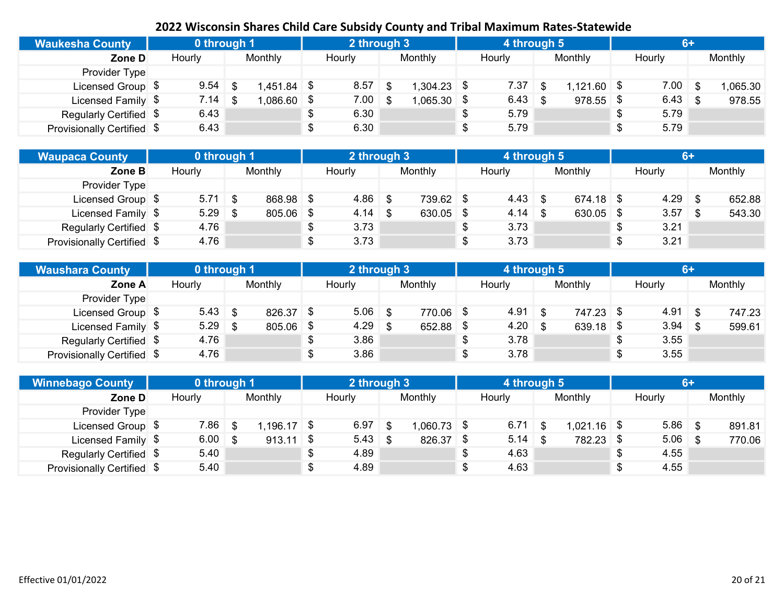| <b>Waukesha County</b>     | 0 through 1 |              |  | 2 through 3 |               | 4 through 5 |                     | $6+$       |          |
|----------------------------|-------------|--------------|--|-------------|---------------|-------------|---------------------|------------|----------|
| Zone D                     | Hourly      | Monthly      |  | Hourly      | Monthly       | Hourly      | Monthly             | Hourly     | Monthly  |
| Provider Type              |             |              |  |             |               |             |                     |            |          |
| Licensed Group \$          | 9.54        | $.451.84$ \$ |  | $8.57$ \$   | l,304.23 \$   | 7.37        | \$<br>$1,121.60$ \$ | $7.00$ \$  | 1,065.30 |
| Licensed Family \$         | 7.14        | $,086.60$ \$ |  | $7.00 \t S$ | $1,065.30$ \$ | 6.43        | 978.55              | $6.43$ \$  | 978.55   |
| Regularly Certified \$     | 6.43        |              |  | 6.30        |               | 5.79        |                     | \$<br>5.79 |          |
| Provisionally Certified \$ | 6.43        |              |  | 6.30        |               | 5.79        |                     | \$<br>5.79 |          |

| Waupaca County <sup>1</sup> | 0 through 1 |           |      | 2 through 3 |             |   | 4 through 5 |             |      |           | 6+ |         |
|-----------------------------|-------------|-----------|------|-------------|-------------|---|-------------|-------------|------|-----------|----|---------|
| Zone B                      | Hourly      | Monthly   |      | Hourly      | Monthly     |   | Hourly      | Monthly     |      | Hourly    |    | Monthly |
| Provider Type               |             |           |      |             |             |   |             |             |      |           |    |         |
| Licensed Group \$           | $5.71$ \$   | 868.98 \$ |      | $4.86$ \$   | 739.62 \$   |   | $4.43$ \$   | $674.18$ \$ |      | $4.29$ \$ |    | 652.88  |
| Licensed Family \$          | $5.29$ \$   | 805.06    | - \$ | $4.14$ \$   | $630.05$ \$ |   |             | 630.05      | - \$ | $3.57$ \$ |    | 543.30  |
| Regularly Certified \$      | 4.76        |           |      | 3.73        |             |   | 3.73        |             | \$   | 3.21      |    |         |
| Provisionally Certified \$  | 4.76        |           |      | 3.73        |             | S | 3.73        |             | \$   | 3.21      |    |         |

| Waushara County            | 0 through 1 |         |      | 2 through 3 |             | 4 through 5 |             |            |         |
|----------------------------|-------------|---------|------|-------------|-------------|-------------|-------------|------------|---------|
| Zone A                     | Hourly      | Monthly |      | Hourly      | Monthly     | Hourly      | Monthly     | Hourly     | Monthly |
| Provider Type              |             |         |      |             |             |             |             |            |         |
| Licensed Group \$          | $5.43$ \$   | 826.37  | - \$ | $5.06$ \$   | 770.06 \$   | 4.91        | 747.23 \$   | $4.91$ \$  | 747.23  |
| Licensed Family \$         | $5.29$ \$   | 805.06  | -\$  | $4.29$ \$   | $652.88$ \$ | $4.20$ \$   | $639.18$ \$ | $3.94$ \$  | 599.61  |
| Regularly Certified \$     | 4.76        |         |      | 3.86        |             | 3.78        |             | 3.55       |         |
| Provisionally Certified \$ | 4.76        |         |      | 3.86        |             | 3.78        |             | \$<br>3.55 |         |

| <b>Winnebago County</b>    | 0 through 1        |              |  | 2 through 3     |             | 4 through 5 |               | $6+$       |         |
|----------------------------|--------------------|--------------|--|-----------------|-------------|-------------|---------------|------------|---------|
| Zone D                     | Hourly             | Monthly      |  | Hourly          | Monthly     | Hourly      | Monthly       | Hourly     | Monthly |
| Provider Type              |                    |              |  |                 |             |             |               |            |         |
| Licensed Group \$          | $7.86$ \$          | $.196.17$ \$ |  | $6.97$ \$       | 1,060.73 \$ | $6.71$ \$   | $1,021.16$ \$ | $5.86$ \$  | 891.81  |
| Licensed Family \$         | $6.00 \, \text{S}$ | $913.11$ \$  |  | $5.43 \quad$ \$ | 826.37 \$   | $5.14$ \$   | 782.23 \$     | $5.06$ \$  | 770.06  |
| Regularly Certified \$     | 5.40               |              |  | 4.89            |             | 4.63        |               | 4.55       |         |
| Provisionally Certified \$ | 5.40               |              |  | 4.89            |             | 4.63        |               | \$<br>4.55 |         |